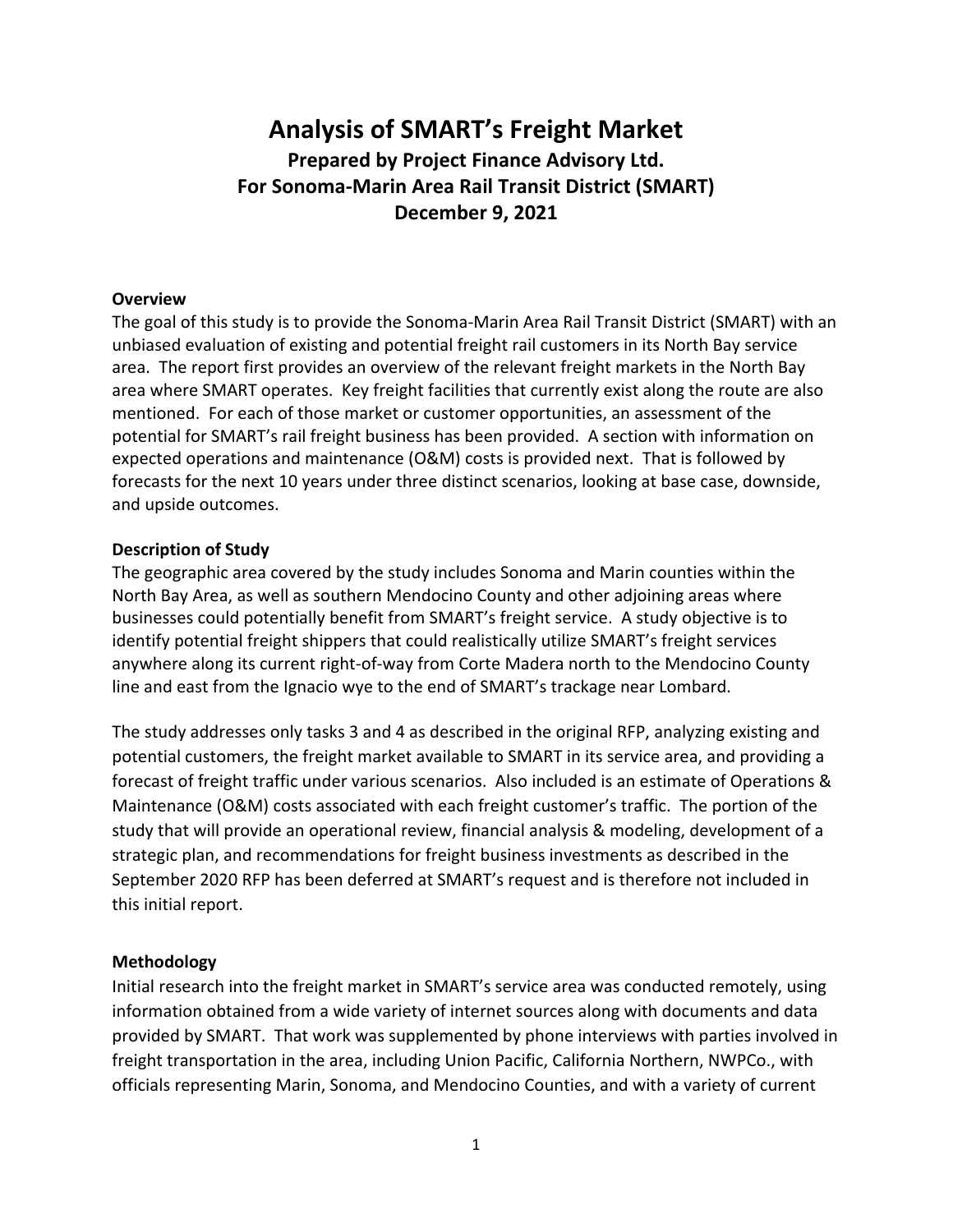# **Analysis of SMART's Freight Market Prepared by Project Finance Advisory Ltd. For Sonoma-Marin Area Rail Transit District (SMART) December 9, 2021**

### **Overview**

The goal of this study is to provide the Sonoma-Marin Area Rail Transit District (SMART) with an unbiased evaluation of existing and potential freight rail customers in its North Bay service area. The report first provides an overview of the relevant freight markets in the North Bay area where SMART operates. Key freight facilities that currently exist along the route are also mentioned. For each of those market or customer opportunities, an assessment of the potential for SMART's rail freight business has been provided. A section with information on expected operations and maintenance (O&M) costs is provided next. That is followed by forecasts for the next 10 years under three distinct scenarios, looking at base case, downside, and upside outcomes.

### **Description of Study**

The geographic area covered by the study includes Sonoma and Marin counties within the North Bay Area, as well as southern Mendocino County and other adjoining areas where businesses could potentially benefit from SMART's freight service. A study objective is to identify potential freight shippers that could realistically utilize SMART's freight services anywhere along its current right-of-way from Corte Madera north to the Mendocino County line and east from the Ignacio wye to the end of SMART's trackage near Lombard.

The study addresses only tasks 3 and 4 as described in the original RFP, analyzing existing and potential customers, the freight market available to SMART in its service area, and providing a forecast of freight traffic under various scenarios. Also included is an estimate of Operations & Maintenance (O&M) costs associated with each freight customer's traffic. The portion of the study that will provide an operational review, financial analysis & modeling, development of a strategic plan, and recommendations for freight business investments as described in the September 2020 RFP has been deferred at SMART's request and is therefore not included in this initial report.

### **Methodology**

Initial research into the freight market in SMART's service area was conducted remotely, using information obtained from a wide variety of internet sources along with documents and data provided by SMART. That work was supplemented by phone interviews with parties involved in freight transportation in the area, including Union Pacific, California Northern, NWPCo., with officials representing Marin, Sonoma, and Mendocino Counties, and with a variety of current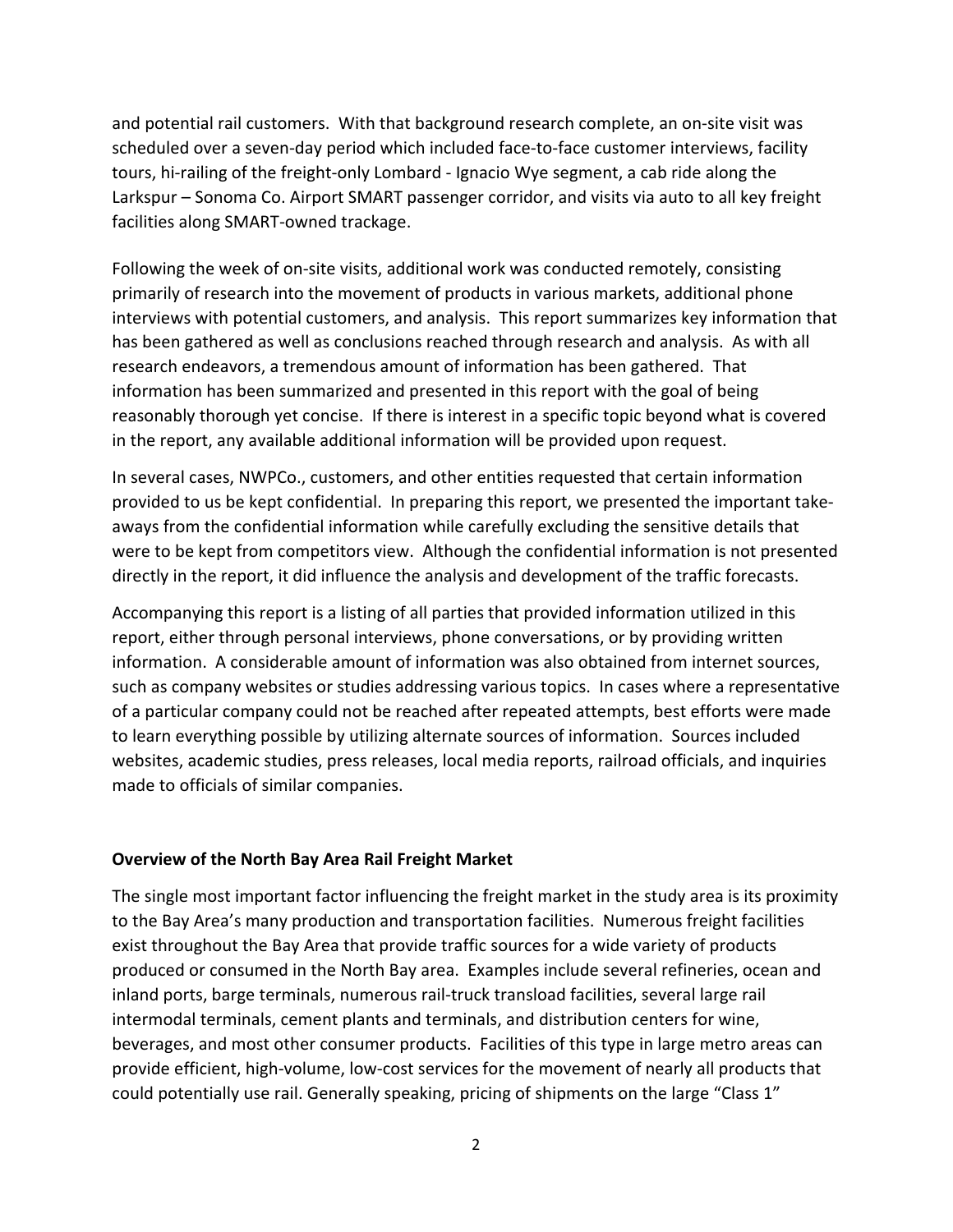and potential rail customers. With that background research complete, an on-site visit was scheduled over a seven-day period which included face-to-face customer interviews, facility tours, hi-railing of the freight-only Lombard - Ignacio Wye segment, a cab ride along the Larkspur – Sonoma Co. Airport SMART passenger corridor, and visits via auto to all key freight facilities along SMART-owned trackage.

Following the week of on-site visits, additional work was conducted remotely, consisting primarily of research into the movement of products in various markets, additional phone interviews with potential customers, and analysis. This report summarizes key information that has been gathered as well as conclusions reached through research and analysis. As with all research endeavors, a tremendous amount of information has been gathered. That information has been summarized and presented in this report with the goal of being reasonably thorough yet concise. If there is interest in a specific topic beyond what is covered in the report, any available additional information will be provided upon request.

In several cases, NWPCo., customers, and other entities requested that certain information provided to us be kept confidential. In preparing this report, we presented the important takeaways from the confidential information while carefully excluding the sensitive details that were to be kept from competitors view. Although the confidential information is not presented directly in the report, it did influence the analysis and development of the traffic forecasts.

Accompanying this report is a listing of all parties that provided information utilized in this report, either through personal interviews, phone conversations, or by providing written information. A considerable amount of information was also obtained from internet sources, such as company websites or studies addressing various topics. In cases where a representative of a particular company could not be reached after repeated attempts, best efforts were made to learn everything possible by utilizing alternate sources of information. Sources included websites, academic studies, press releases, local media reports, railroad officials, and inquiries made to officials of similar companies.

### **Overview of the North Bay Area Rail Freight Market**

The single most important factor influencing the freight market in the study area is its proximity to the Bay Area's many production and transportation facilities. Numerous freight facilities exist throughout the Bay Area that provide traffic sources for a wide variety of products produced or consumed in the North Bay area. Examples include several refineries, ocean and inland ports, barge terminals, numerous rail-truck transload facilities, several large rail intermodal terminals, cement plants and terminals, and distribution centers for wine, beverages, and most other consumer products. Facilities of this type in large metro areas can provide efficient, high-volume, low-cost services for the movement of nearly all products that could potentially use rail. Generally speaking, pricing of shipments on the large "Class 1"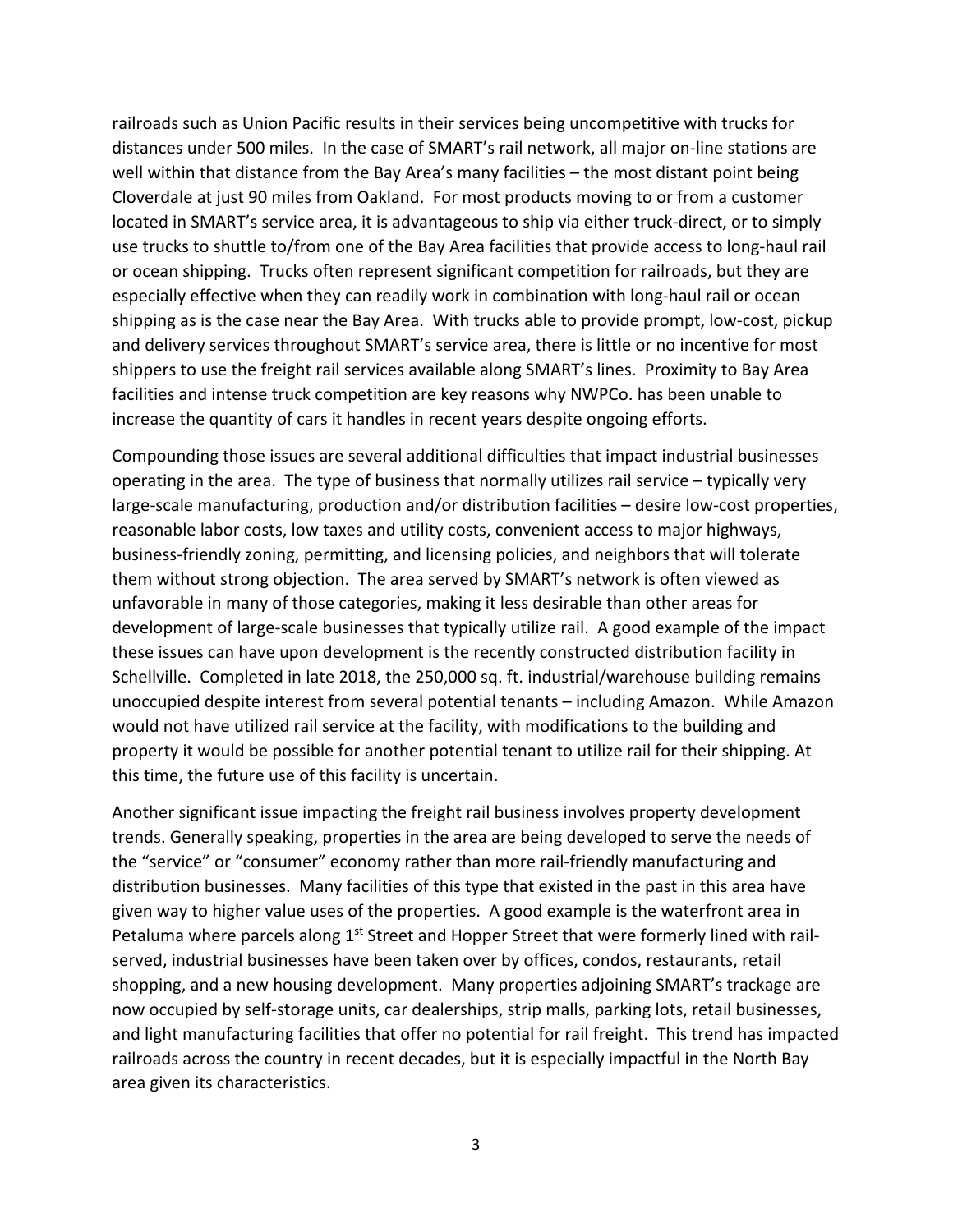railroads such as Union Pacific results in their services being uncompetitive with trucks for distances under 500 miles. In the case of SMART's rail network, all major on-line stations are well within that distance from the Bay Area's many facilities – the most distant point being Cloverdale at just 90 miles from Oakland. For most products moving to or from a customer located in SMART's service area, it is advantageous to ship via either truck-direct, or to simply use trucks to shuttle to/from one of the Bay Area facilities that provide access to long-haul rail or ocean shipping. Trucks often represent significant competition for railroads, but they are especially effective when they can readily work in combination with long-haul rail or ocean shipping as is the case near the Bay Area. With trucks able to provide prompt, low-cost, pickup and delivery services throughout SMART's service area, there is little or no incentive for most shippers to use the freight rail services available along SMART's lines. Proximity to Bay Area facilities and intense truck competition are key reasons why NWPCo. has been unable to increase the quantity of cars it handles in recent years despite ongoing efforts.

Compounding those issues are several additional difficulties that impact industrial businesses operating in the area. The type of business that normally utilizes rail service – typically very large-scale manufacturing, production and/or distribution facilities – desire low-cost properties, reasonable labor costs, low taxes and utility costs, convenient access to major highways, business-friendly zoning, permitting, and licensing policies, and neighbors that will tolerate them without strong objection. The area served by SMART's network is often viewed as unfavorable in many of those categories, making it less desirable than other areas for development of large-scale businesses that typically utilize rail. A good example of the impact these issues can have upon development is the recently constructed distribution facility in Schellville. Completed in late 2018, the 250,000 sq. ft. industrial/warehouse building remains unoccupied despite interest from several potential tenants – including Amazon. While Amazon would not have utilized rail service at the facility, with modifications to the building and property it would be possible for another potential tenant to utilize rail for their shipping. At this time, the future use of this facility is uncertain.

Another significant issue impacting the freight rail business involves property development trends. Generally speaking, properties in the area are being developed to serve the needs of the "service" or "consumer" economy rather than more rail-friendly manufacturing and distribution businesses. Many facilities of this type that existed in the past in this area have given way to higher value uses of the properties. A good example is the waterfront area in Petaluma where parcels along 1<sup>st</sup> Street and Hopper Street that were formerly lined with railserved, industrial businesses have been taken over by offices, condos, restaurants, retail shopping, and a new housing development. Many properties adjoining SMART's trackage are now occupied by self-storage units, car dealerships, strip malls, parking lots, retail businesses, and light manufacturing facilities that offer no potential for rail freight. This trend has impacted railroads across the country in recent decades, but it is especially impactful in the North Bay area given its characteristics.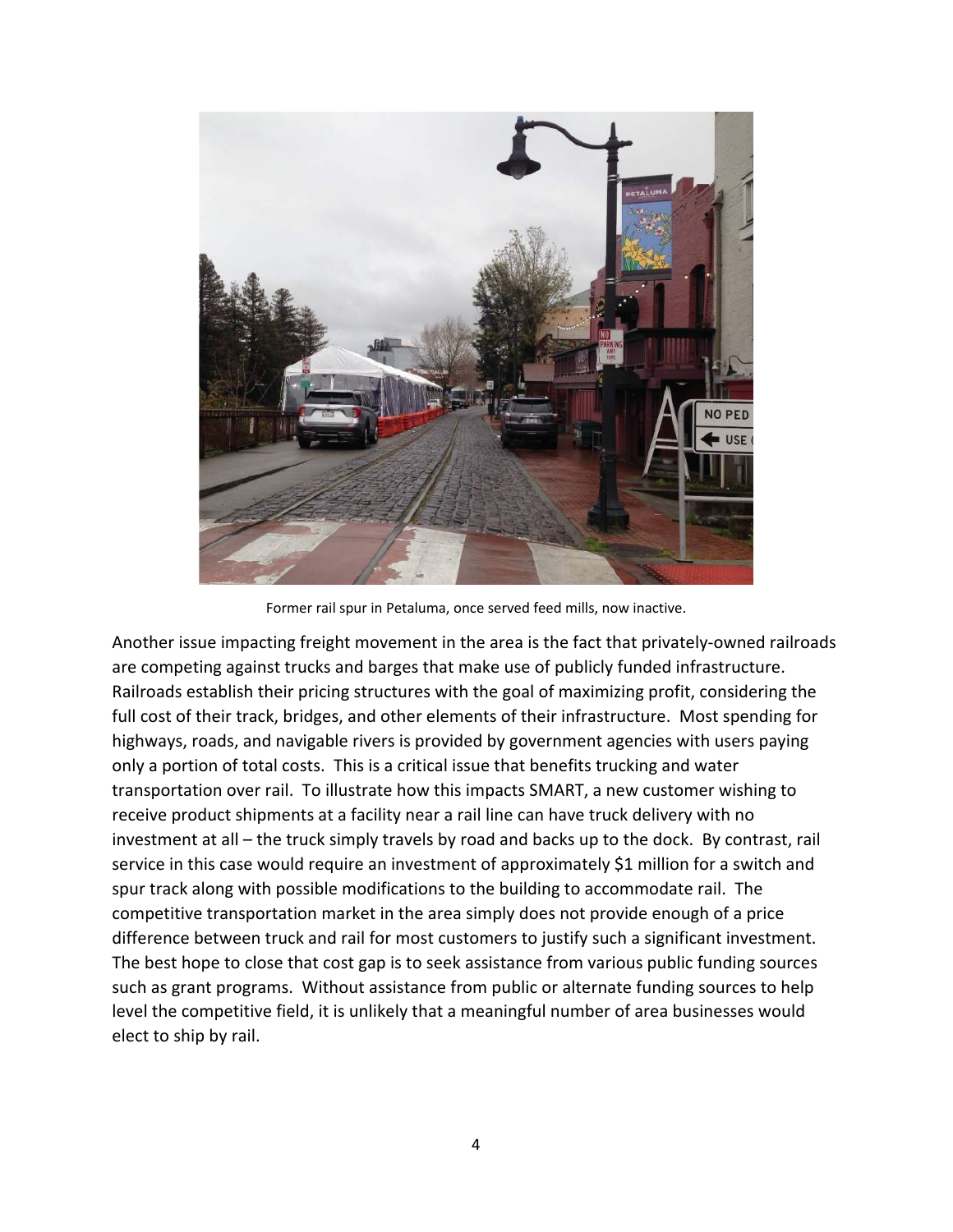

Former rail spur in Petaluma, once served feed mills, now inactive.

Another issue impacting freight movement in the area is the fact that privately-owned railroads are competing against trucks and barges that make use of publicly funded infrastructure. Railroads establish their pricing structures with the goal of maximizing profit, considering the full cost of their track, bridges, and other elements of their infrastructure. Most spending for highways, roads, and navigable rivers is provided by government agencies with users paying only a portion of total costs. This is a critical issue that benefits trucking and water transportation over rail. To illustrate how this impacts SMART, a new customer wishing to receive product shipments at a facility near a rail line can have truck delivery with no investment at all – the truck simply travels by road and backs up to the dock. By contrast, rail service in this case would require an investment of approximately \$1 million for a switch and spur track along with possible modifications to the building to accommodate rail. The competitive transportation market in the area simply does not provide enough of a price difference between truck and rail for most customers to justify such a significant investment. The best hope to close that cost gap is to seek assistance from various public funding sources such as grant programs. Without assistance from public or alternate funding sources to help level the competitive field, it is unlikely that a meaningful number of area businesses would elect to ship by rail.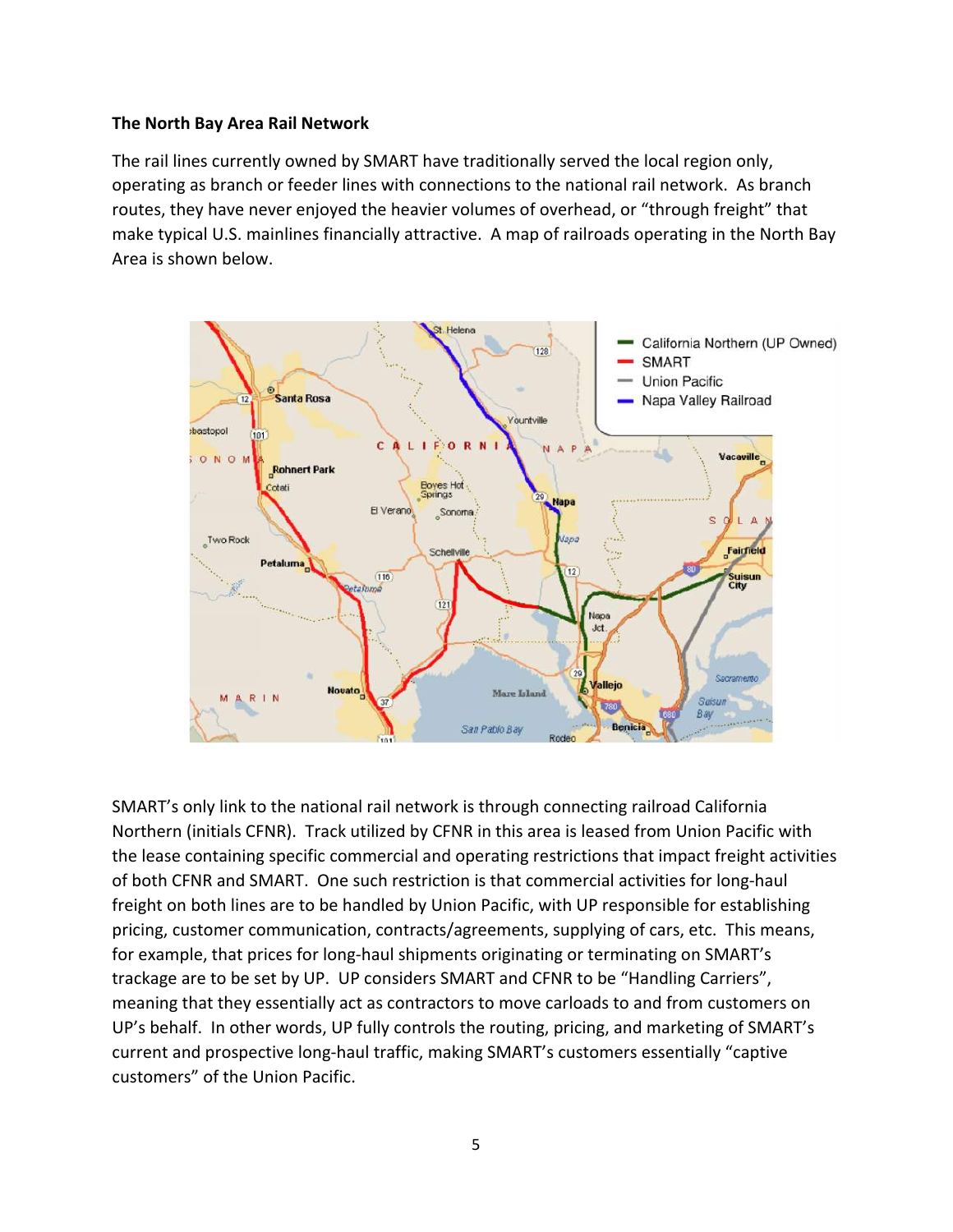### **The North Bay Area Rail Network**

The rail lines currently owned by SMART have traditionally served the local region only, operating as branch or feeder lines with connections to the national rail network. As branch routes, they have never enjoyed the heavier volumes of overhead, or "through freight" that make typical U.S. mainlines financially attractive. A map of railroads operating in the North Bay Area is shown below.



SMART's only link to the national rail network is through connecting railroad California Northern (initials CFNR). Track utilized by CFNR in this area is leased from Union Pacific with the lease containing specific commercial and operating restrictions that impact freight activities of both CFNR and SMART. One such restriction is that commercial activities for long-haul freight on both lines are to be handled by Union Pacific, with UP responsible for establishing pricing, customer communication, contracts/agreements, supplying of cars, etc. This means, for example, that prices for long-haul shipments originating or terminating on SMART's trackage are to be set by UP. UP considers SMART and CFNR to be "Handling Carriers", meaning that they essentially act as contractors to move carloads to and from customers on UP's behalf. In other words, UP fully controls the routing, pricing, and marketing of SMART's current and prospective long-haul traffic, making SMART's customers essentially "captive customers" of the Union Pacific.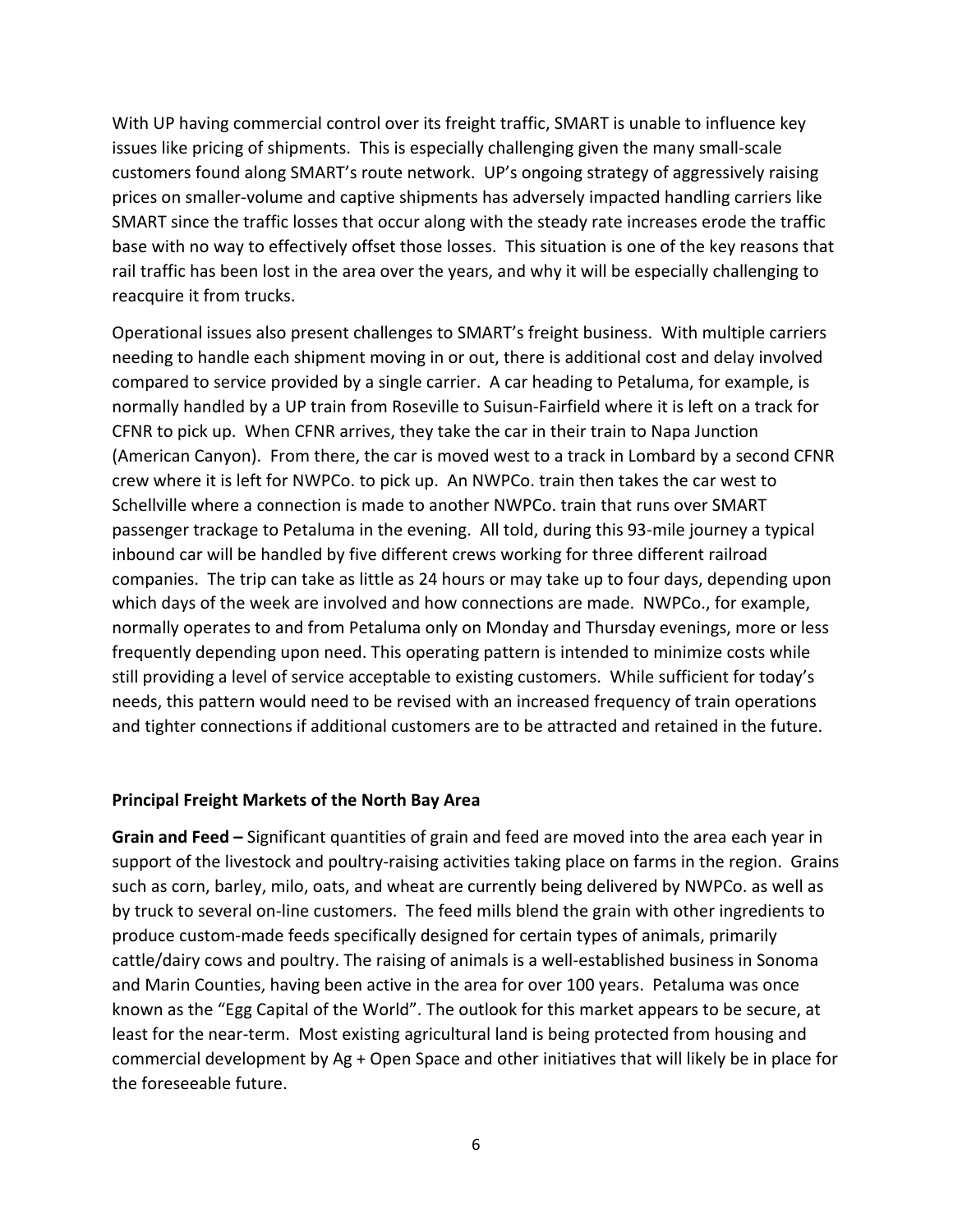With UP having commercial control over its freight traffic, SMART is unable to influence key issues like pricing of shipments. This is especially challenging given the many small-scale customers found along SMART's route network. UP's ongoing strategy of aggressively raising prices on smaller-volume and captive shipments has adversely impacted handling carriers like SMART since the traffic losses that occur along with the steady rate increases erode the traffic base with no way to effectively offset those losses. This situation is one of the key reasons that rail traffic has been lost in the area over the years, and why it will be especially challenging to reacquire it from trucks.

Operational issues also present challenges to SMART's freight business. With multiple carriers needing to handle each shipment moving in or out, there is additional cost and delay involved compared to service provided by a single carrier. A car heading to Petaluma, for example, is normally handled by a UP train from Roseville to Suisun-Fairfield where it is left on a track for CFNR to pick up. When CFNR arrives, they take the car in their train to Napa Junction (American Canyon). From there, the car is moved west to a track in Lombard by a second CFNR crew where it is left for NWPCo. to pick up. An NWPCo. train then takes the car west to Schellville where a connection is made to another NWPCo. train that runs over SMART passenger trackage to Petaluma in the evening. All told, during this 93-mile journey a typical inbound car will be handled by five different crews working for three different railroad companies. The trip can take as little as 24 hours or may take up to four days, depending upon which days of the week are involved and how connections are made. NWPCo., for example, normally operates to and from Petaluma only on Monday and Thursday evenings, more or less frequently depending upon need. This operating pattern is intended to minimize costs while still providing a level of service acceptable to existing customers. While sufficient for today's needs, this pattern would need to be revised with an increased frequency of train operations and tighter connections if additional customers are to be attracted and retained in the future.

### **Principal Freight Markets of the North Bay Area**

**Grain and Feed –** Significant quantities of grain and feed are moved into the area each year in support of the livestock and poultry-raising activities taking place on farms in the region. Grains such as corn, barley, milo, oats, and wheat are currently being delivered by NWPCo. as well as by truck to several on-line customers. The feed mills blend the grain with other ingredients to produce custom-made feeds specifically designed for certain types of animals, primarily cattle/dairy cows and poultry. The raising of animals is a well-established business in Sonoma and Marin Counties, having been active in the area for over 100 years. Petaluma was once known as the "Egg Capital of the World". The outlook for this market appears to be secure, at least for the near-term. Most existing agricultural land is being protected from housing and commercial development by Ag + Open Space and other initiatives that will likely be in place for the foreseeable future.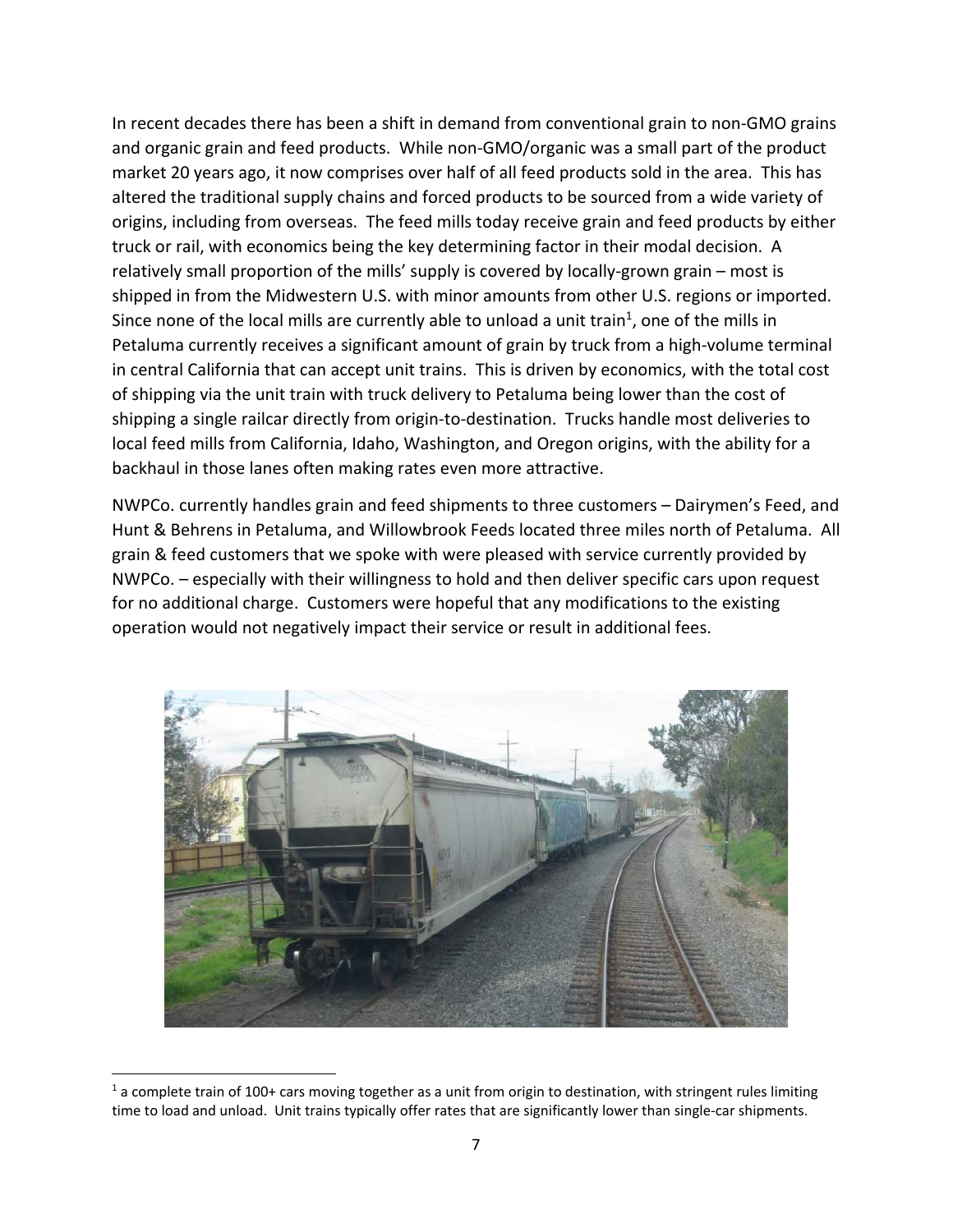In recent decades there has been a shift in demand from conventional grain to non-GMO grains and organic grain and feed products. While non-GMO/organic was a small part of the product market 20 years ago, it now comprises over half of all feed products sold in the area. This has altered the traditional supply chains and forced products to be sourced from a wide variety of origins, including from overseas. The feed mills today receive grain and feed products by either truck or rail, with economics being the key determining factor in their modal decision. A relatively small proportion of the mills' supply is covered by locally-grown grain – most is shipped in from the Midwestern U.S. with minor amounts from other U.S. regions or imported. Since none of the local mills are currently able to unload a unit train<sup>1</sup>, one of the mills in Petaluma currently receives a significant amount of grain by truck from a high-volume terminal in central California that can accept unit trains. This is driven by economics, with the total cost of shipping via the unit train with truck delivery to Petaluma being lower than the cost of shipping a single railcar directly from origin-to-destination. Trucks handle most deliveries to local feed mills from California, Idaho, Washington, and Oregon origins, with the ability for a backhaul in those lanes often making rates even more attractive.

NWPCo. currently handles grain and feed shipments to three customers – Dairymen's Feed, and Hunt & Behrens in Petaluma, and Willowbrook Feeds located three miles north of Petaluma. All grain & feed customers that we spoke with were pleased with service currently provided by NWPCo. – especially with their willingness to hold and then deliver specific cars upon request for no additional charge. Customers were hopeful that any modifications to the existing operation would not negatively impact their service or result in additional fees.



 $1$  a complete train of 100+ cars moving together as a unit from origin to destination, with stringent rules limiting time to load and unload. Unit trains typically offer rates that are significantly lower than single-car shipments.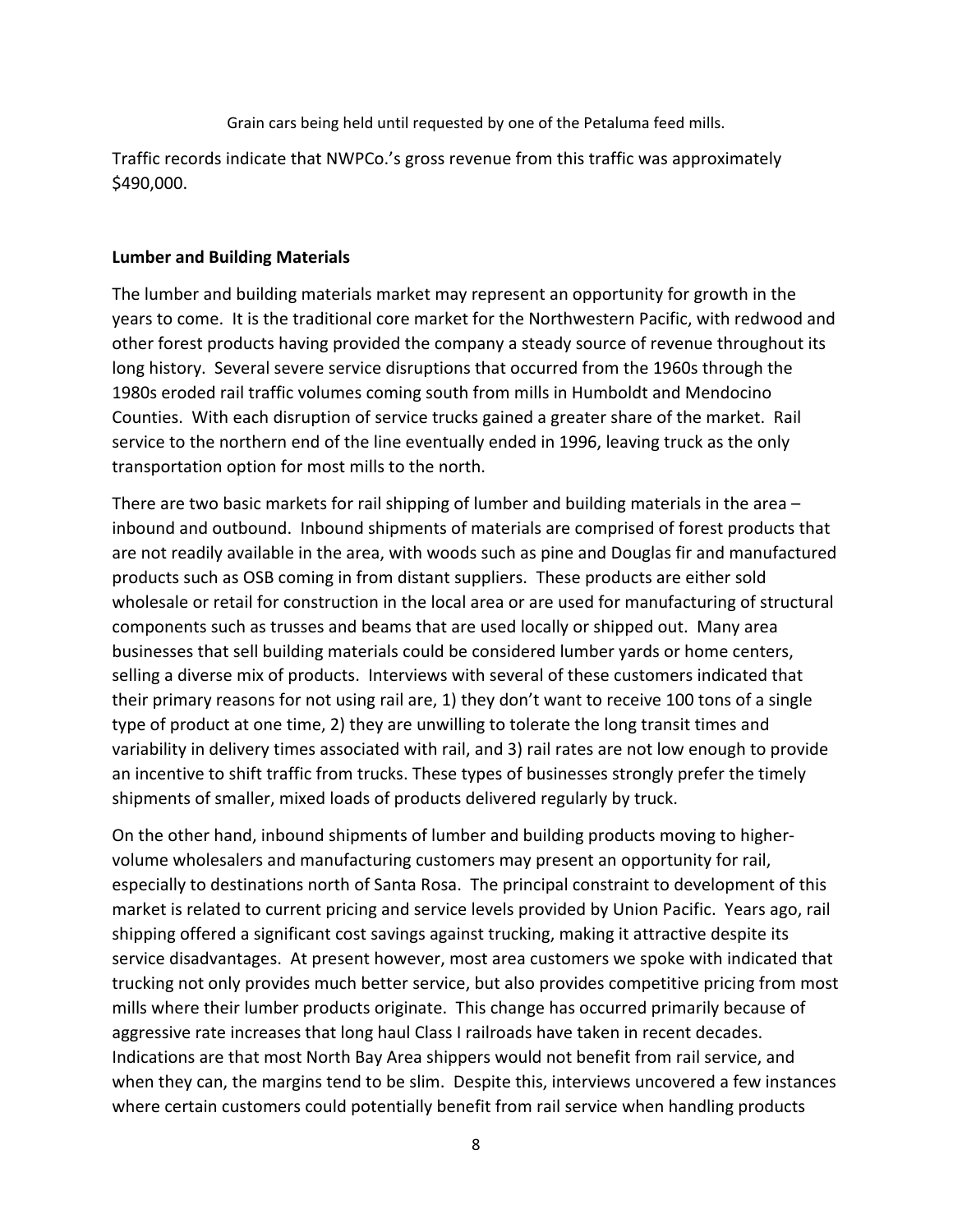Grain cars being held until requested by one of the Petaluma feed mills.

Traffic records indicate that NWPCo.'s gross revenue from this traffic was approximately \$490,000.

### **Lumber and Building Materials**

The lumber and building materials market may represent an opportunity for growth in the years to come. It is the traditional core market for the Northwestern Pacific, with redwood and other forest products having provided the company a steady source of revenue throughout its long history. Several severe service disruptions that occurred from the 1960s through the 1980s eroded rail traffic volumes coming south from mills in Humboldt and Mendocino Counties. With each disruption of service trucks gained a greater share of the market. Rail service to the northern end of the line eventually ended in 1996, leaving truck as the only transportation option for most mills to the north.

There are two basic markets for rail shipping of lumber and building materials in the area – inbound and outbound. Inbound shipments of materials are comprised of forest products that are not readily available in the area, with woods such as pine and Douglas fir and manufactured products such as OSB coming in from distant suppliers. These products are either sold wholesale or retail for construction in the local area or are used for manufacturing of structural components such as trusses and beams that are used locally or shipped out. Many area businesses that sell building materials could be considered lumber yards or home centers, selling a diverse mix of products. Interviews with several of these customers indicated that their primary reasons for not using rail are, 1) they don't want to receive 100 tons of a single type of product at one time, 2) they are unwilling to tolerate the long transit times and variability in delivery times associated with rail, and 3) rail rates are not low enough to provide an incentive to shift traffic from trucks. These types of businesses strongly prefer the timely shipments of smaller, mixed loads of products delivered regularly by truck.

On the other hand, inbound shipments of lumber and building products moving to highervolume wholesalers and manufacturing customers may present an opportunity for rail, especially to destinations north of Santa Rosa. The principal constraint to development of this market is related to current pricing and service levels provided by Union Pacific. Years ago, rail shipping offered a significant cost savings against trucking, making it attractive despite its service disadvantages. At present however, most area customers we spoke with indicated that trucking not only provides much better service, but also provides competitive pricing from most mills where their lumber products originate. This change has occurred primarily because of aggressive rate increases that long haul Class I railroads have taken in recent decades. Indications are that most North Bay Area shippers would not benefit from rail service, and when they can, the margins tend to be slim. Despite this, interviews uncovered a few instances where certain customers could potentially benefit from rail service when handling products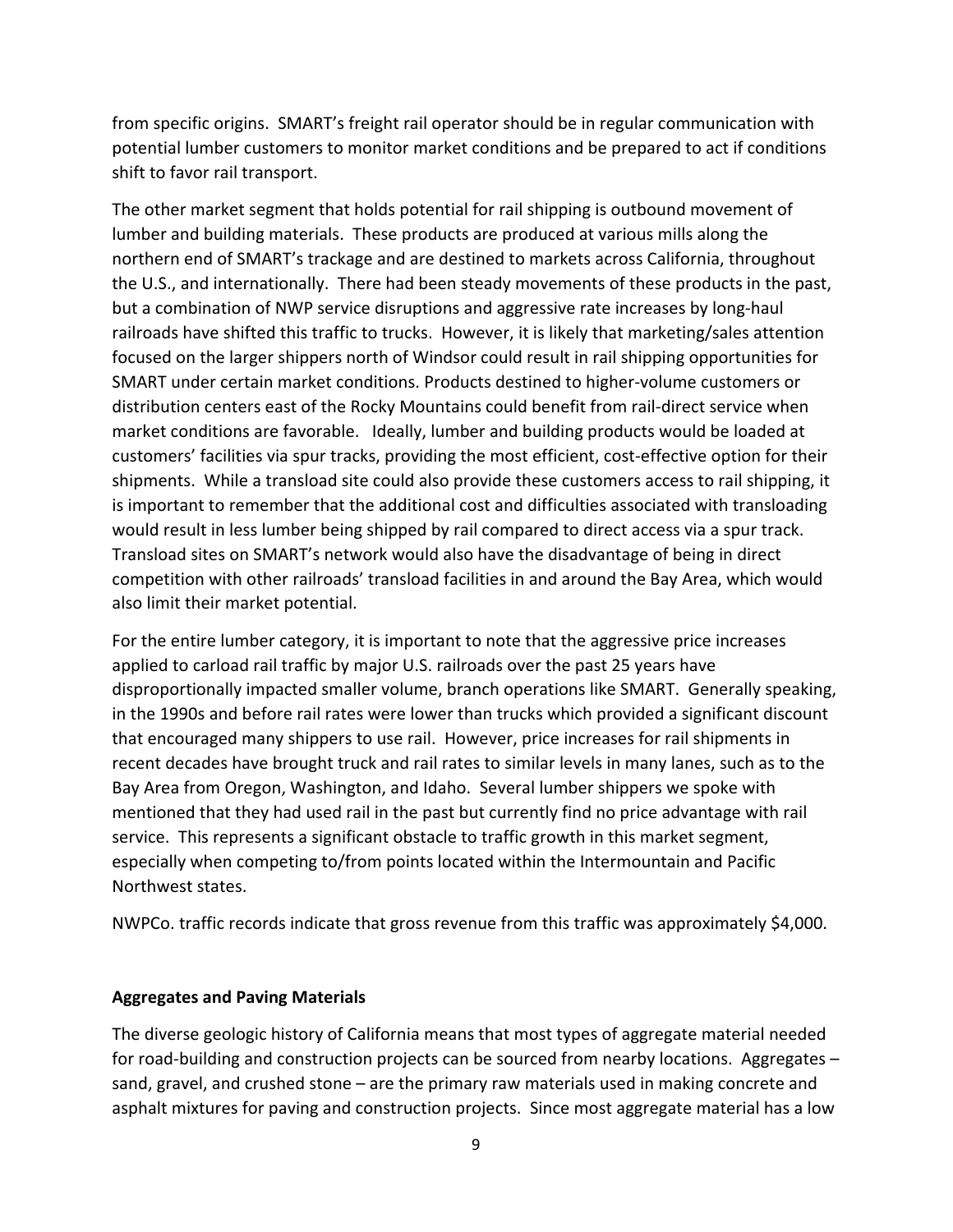from specific origins. SMART's freight rail operator should be in regular communication with potential lumber customers to monitor market conditions and be prepared to act if conditions shift to favor rail transport.

The other market segment that holds potential for rail shipping is outbound movement of lumber and building materials. These products are produced at various mills along the northern end of SMART's trackage and are destined to markets across California, throughout the U.S., and internationally. There had been steady movements of these products in the past, but a combination of NWP service disruptions and aggressive rate increases by long-haul railroads have shifted this traffic to trucks. However, it is likely that marketing/sales attention focused on the larger shippers north of Windsor could result in rail shipping opportunities for SMART under certain market conditions. Products destined to higher-volume customers or distribution centers east of the Rocky Mountains could benefit from rail-direct service when market conditions are favorable. Ideally, lumber and building products would be loaded at customers' facilities via spur tracks, providing the most efficient, cost-effective option for their shipments. While a transload site could also provide these customers access to rail shipping, it is important to remember that the additional cost and difficulties associated with transloading would result in less lumber being shipped by rail compared to direct access via a spur track. Transload sites on SMART's network would also have the disadvantage of being in direct competition with other railroads' transload facilities in and around the Bay Area, which would also limit their market potential.

For the entire lumber category, it is important to note that the aggressive price increases applied to carload rail traffic by major U.S. railroads over the past 25 years have disproportionally impacted smaller volume, branch operations like SMART. Generally speaking, in the 1990s and before rail rates were lower than trucks which provided a significant discount that encouraged many shippers to use rail. However, price increases for rail shipments in recent decades have brought truck and rail rates to similar levels in many lanes, such as to the Bay Area from Oregon, Washington, and Idaho. Several lumber shippers we spoke with mentioned that they had used rail in the past but currently find no price advantage with rail service. This represents a significant obstacle to traffic growth in this market segment, especially when competing to/from points located within the Intermountain and Pacific Northwest states.

NWPCo. traffic records indicate that gross revenue from this traffic was approximately \$4,000.

# **Aggregates and Paving Materials**

The diverse geologic history of California means that most types of aggregate material needed for road-building and construction projects can be sourced from nearby locations. Aggregates – sand, gravel, and crushed stone – are the primary raw materials used in making concrete and asphalt mixtures for paving and construction projects. Since most aggregate material has a low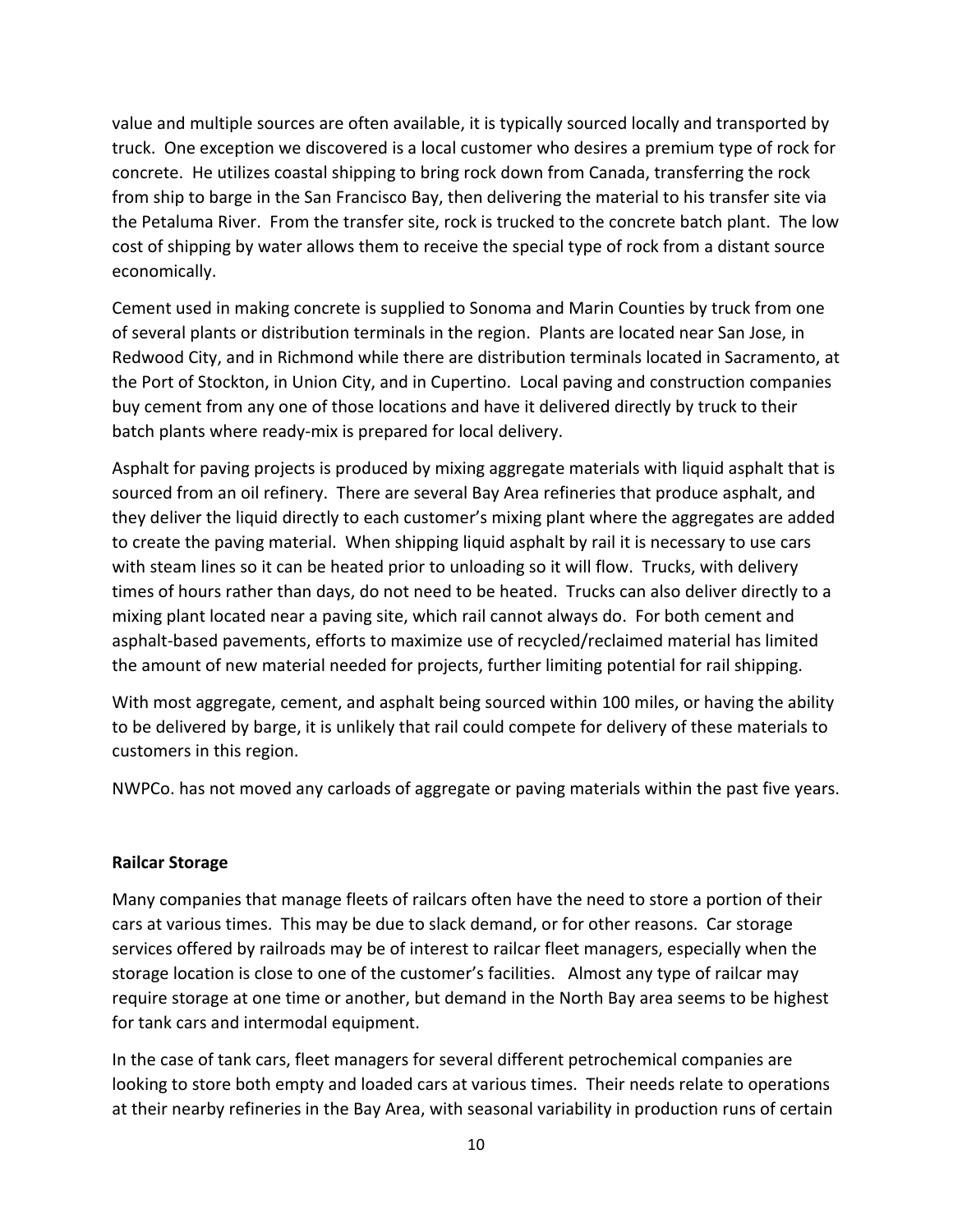value and multiple sources are often available, it is typically sourced locally and transported by truck. One exception we discovered is a local customer who desires a premium type of rock for concrete. He utilizes coastal shipping to bring rock down from Canada, transferring the rock from ship to barge in the San Francisco Bay, then delivering the material to his transfer site via the Petaluma River. From the transfer site, rock is trucked to the concrete batch plant. The low cost of shipping by water allows them to receive the special type of rock from a distant source economically.

Cement used in making concrete is supplied to Sonoma and Marin Counties by truck from one of several plants or distribution terminals in the region. Plants are located near San Jose, in Redwood City, and in Richmond while there are distribution terminals located in Sacramento, at the Port of Stockton, in Union City, and in Cupertino. Local paving and construction companies buy cement from any one of those locations and have it delivered directly by truck to their batch plants where ready-mix is prepared for local delivery.

Asphalt for paving projects is produced by mixing aggregate materials with liquid asphalt that is sourced from an oil refinery. There are several Bay Area refineries that produce asphalt, and they deliver the liquid directly to each customer's mixing plant where the aggregates are added to create the paving material. When shipping liquid asphalt by rail it is necessary to use cars with steam lines so it can be heated prior to unloading so it will flow. Trucks, with delivery times of hours rather than days, do not need to be heated. Trucks can also deliver directly to a mixing plant located near a paving site, which rail cannot always do. For both cement and asphalt-based pavements, efforts to maximize use of recycled/reclaimed material has limited the amount of new material needed for projects, further limiting potential for rail shipping.

With most aggregate, cement, and asphalt being sourced within 100 miles, or having the ability to be delivered by barge, it is unlikely that rail could compete for delivery of these materials to customers in this region.

NWPCo. has not moved any carloads of aggregate or paving materials within the past five years.

### **Railcar Storage**

Many companies that manage fleets of railcars often have the need to store a portion of their cars at various times. This may be due to slack demand, or for other reasons. Car storage services offered by railroads may be of interest to railcar fleet managers, especially when the storage location is close to one of the customer's facilities. Almost any type of railcar may require storage at one time or another, but demand in the North Bay area seems to be highest for tank cars and intermodal equipment.

In the case of tank cars, fleet managers for several different petrochemical companies are looking to store both empty and loaded cars at various times. Their needs relate to operations at their nearby refineries in the Bay Area, with seasonal variability in production runs of certain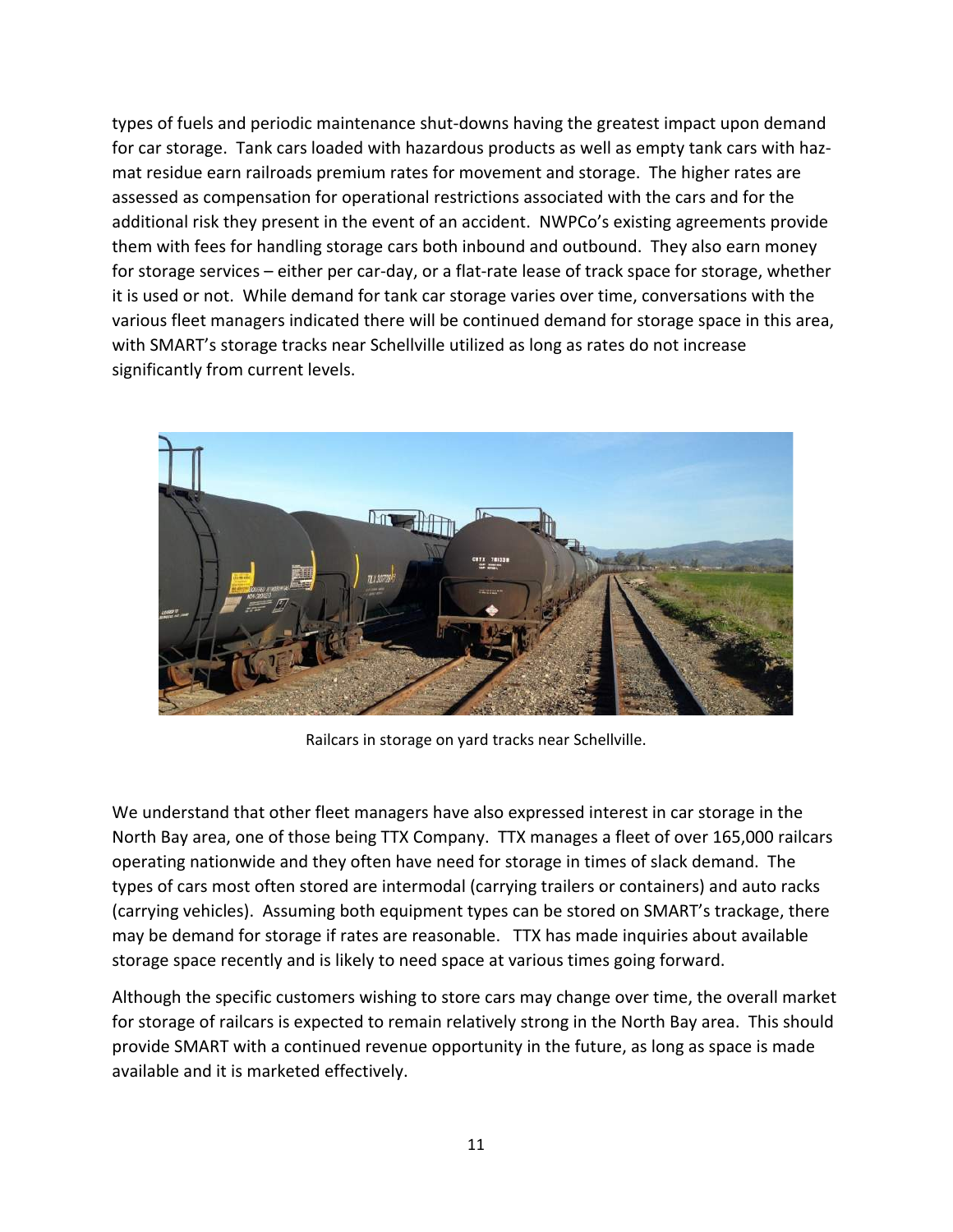types of fuels and periodic maintenance shut-downs having the greatest impact upon demand for car storage. Tank cars loaded with hazardous products as well as empty tank cars with hazmat residue earn railroads premium rates for movement and storage. The higher rates are assessed as compensation for operational restrictions associated with the cars and for the additional risk they present in the event of an accident. NWPCo's existing agreements provide them with fees for handling storage cars both inbound and outbound. They also earn money for storage services – either per car-day, or a flat-rate lease of track space for storage, whether it is used or not. While demand for tank car storage varies over time, conversations with the various fleet managers indicated there will be continued demand for storage space in this area, with SMART's storage tracks near Schellville utilized as long as rates do not increase significantly from current levels.



Railcars in storage on yard tracks near Schellville.

We understand that other fleet managers have also expressed interest in car storage in the North Bay area, one of those being TTX Company. TTX manages a fleet of over 165,000 railcars operating nationwide and they often have need for storage in times of slack demand. The types of cars most often stored are intermodal (carrying trailers or containers) and auto racks (carrying vehicles). Assuming both equipment types can be stored on SMART's trackage, there may be demand for storage if rates are reasonable. TTX has made inquiries about available storage space recently and is likely to need space at various times going forward.

Although the specific customers wishing to store cars may change over time, the overall market for storage of railcars is expected to remain relatively strong in the North Bay area. This should provide SMART with a continued revenue opportunity in the future, as long as space is made available and it is marketed effectively.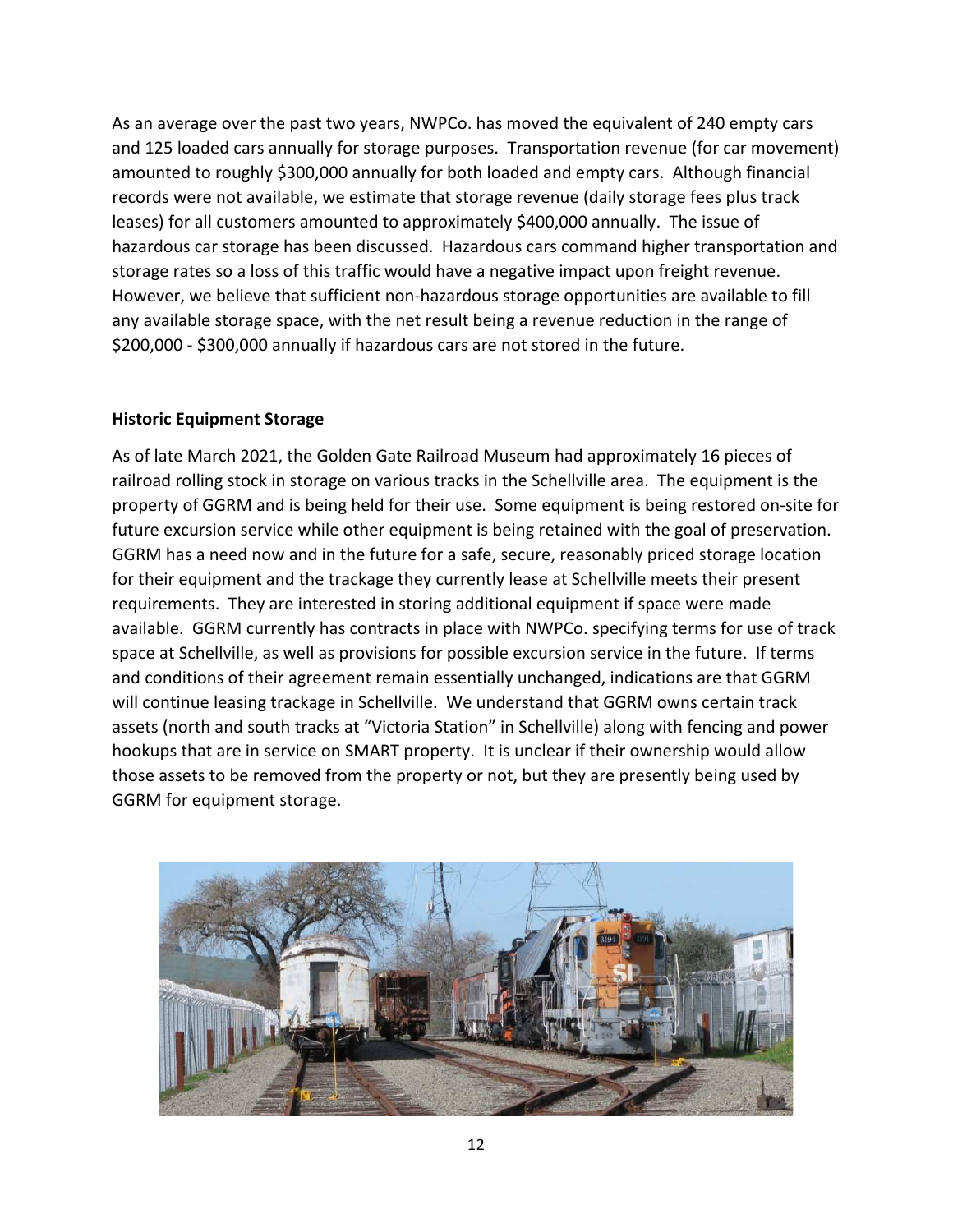As an average over the past two years, NWPCo. has moved the equivalent of 240 empty cars and 125 loaded cars annually for storage purposes. Transportation revenue (for car movement) amounted to roughly \$300,000 annually for both loaded and empty cars. Although financial records were not available, we estimate that storage revenue (daily storage fees plus track leases) for all customers amounted to approximately \$400,000 annually. The issue of hazardous car storage has been discussed. Hazardous cars command higher transportation and storage rates so a loss of this traffic would have a negative impact upon freight revenue. However, we believe that sufficient non-hazardous storage opportunities are available to fill any available storage space, with the net result being a revenue reduction in the range of \$200,000 - \$300,000 annually if hazardous cars are not stored in the future.

# **Historic Equipment Storage**

As of late March 2021, the Golden Gate Railroad Museum had approximately 16 pieces of railroad rolling stock in storage on various tracks in the Schellville area. The equipment is the property of GGRM and is being held for their use. Some equipment is being restored on-site for future excursion service while other equipment is being retained with the goal of preservation. GGRM has a need now and in the future for a safe, secure, reasonably priced storage location for their equipment and the trackage they currently lease at Schellville meets their present requirements. They are interested in storing additional equipment if space were made available. GGRM currently has contracts in place with NWPCo. specifying terms for use of track space at Schellville, as well as provisions for possible excursion service in the future. If terms and conditions of their agreement remain essentially unchanged, indications are that GGRM will continue leasing trackage in Schellville. We understand that GGRM owns certain track assets (north and south tracks at "Victoria Station" in Schellville) along with fencing and power hookups that are in service on SMART property. It is unclear if their ownership would allow those assets to be removed from the property or not, but they are presently being used by GGRM for equipment storage.

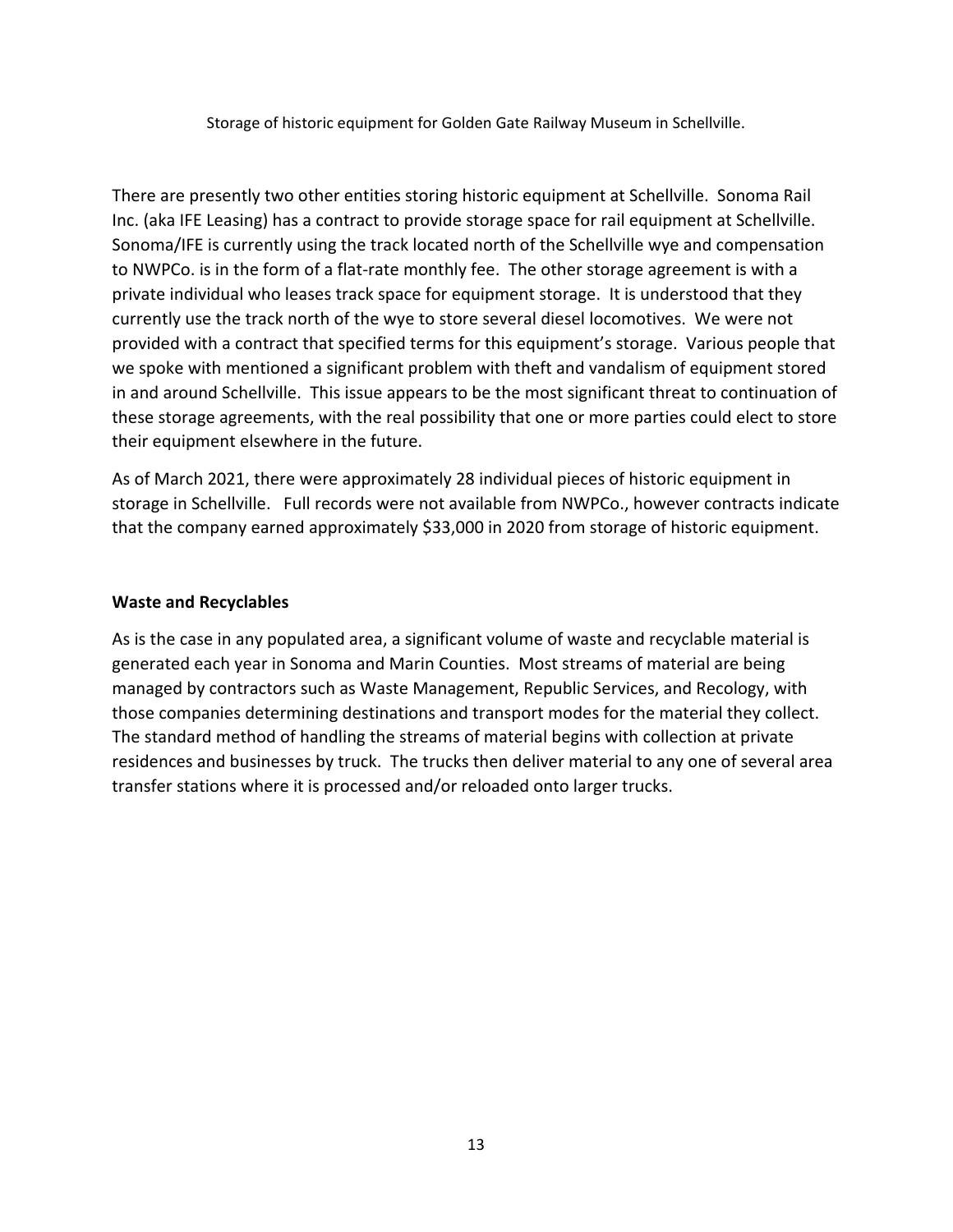Storage of historic equipment for Golden Gate Railway Museum in Schellville.

There are presently two other entities storing historic equipment at Schellville. Sonoma Rail Inc. (aka IFE Leasing) has a contract to provide storage space for rail equipment at Schellville. Sonoma/IFE is currently using the track located north of the Schellville wye and compensation to NWPCo. is in the form of a flat-rate monthly fee. The other storage agreement is with a private individual who leases track space for equipment storage. It is understood that they currently use the track north of the wye to store several diesel locomotives. We were not provided with a contract that specified terms for this equipment's storage. Various people that we spoke with mentioned a significant problem with theft and vandalism of equipment stored in and around Schellville. This issue appears to be the most significant threat to continuation of these storage agreements, with the real possibility that one or more parties could elect to store their equipment elsewhere in the future.

As of March 2021, there were approximately 28 individual pieces of historic equipment in storage in Schellville. Full records were not available from NWPCo., however contracts indicate that the company earned approximately \$33,000 in 2020 from storage of historic equipment.

### **Waste and Recyclables**

As is the case in any populated area, a significant volume of waste and recyclable material is generated each year in Sonoma and Marin Counties. Most streams of material are being managed by contractors such as Waste Management, Republic Services, and Recology, with those companies determining destinations and transport modes for the material they collect. The standard method of handling the streams of material begins with collection at private residences and businesses by truck. The trucks then deliver material to any one of several area transfer stations where it is processed and/or reloaded onto larger trucks.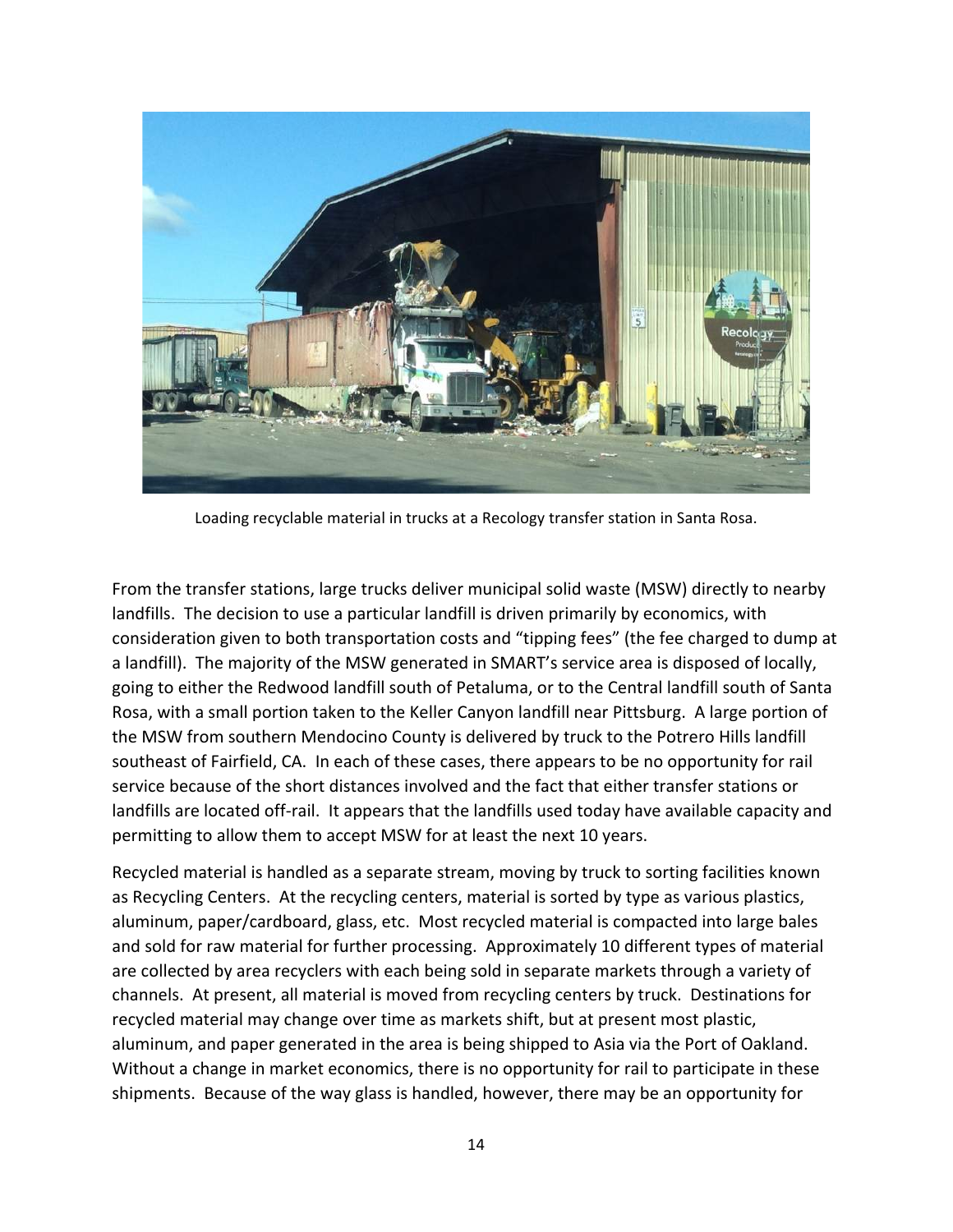

Loading recyclable material in trucks at a Recology transfer station in Santa Rosa.

From the transfer stations, large trucks deliver municipal solid waste (MSW) directly to nearby landfills. The decision to use a particular landfill is driven primarily by economics, with consideration given to both transportation costs and "tipping fees" (the fee charged to dump at a landfill). The majority of the MSW generated in SMART's service area is disposed of locally, going to either the Redwood landfill south of Petaluma, or to the Central landfill south of Santa Rosa, with a small portion taken to the Keller Canyon landfill near Pittsburg. A large portion of the MSW from southern Mendocino County is delivered by truck to the Potrero Hills landfill southeast of Fairfield, CA. In each of these cases, there appears to be no opportunity for rail service because of the short distances involved and the fact that either transfer stations or landfills are located off-rail. It appears that the landfills used today have available capacity and permitting to allow them to accept MSW for at least the next 10 years.

Recycled material is handled as a separate stream, moving by truck to sorting facilities known as Recycling Centers. At the recycling centers, material is sorted by type as various plastics, aluminum, paper/cardboard, glass, etc. Most recycled material is compacted into large bales and sold for raw material for further processing. Approximately 10 different types of material are collected by area recyclers with each being sold in separate markets through a variety of channels. At present, all material is moved from recycling centers by truck. Destinations for recycled material may change over time as markets shift, but at present most plastic, aluminum, and paper generated in the area is being shipped to Asia via the Port of Oakland. Without a change in market economics, there is no opportunity for rail to participate in these shipments. Because of the way glass is handled, however, there may be an opportunity for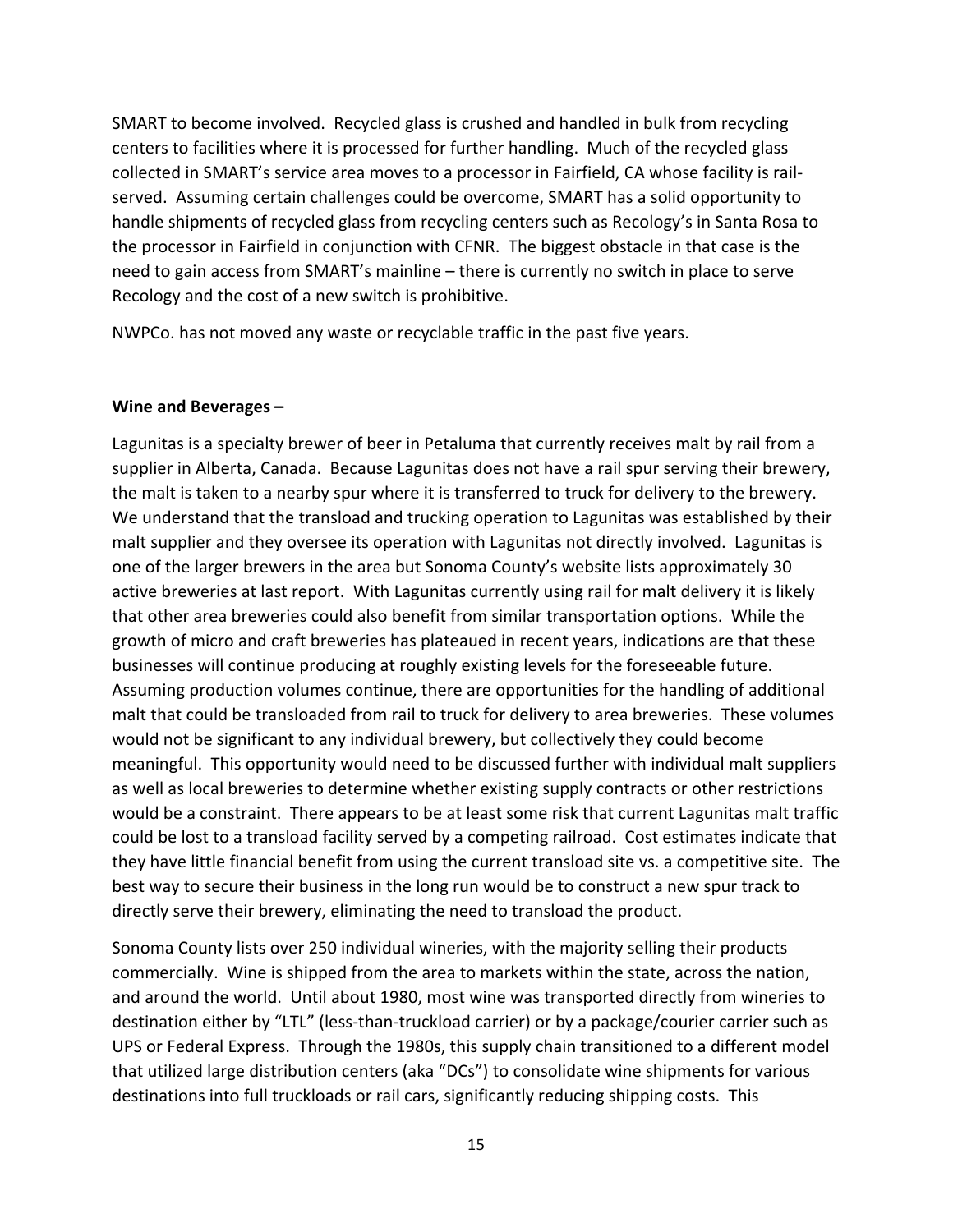SMART to become involved. Recycled glass is crushed and handled in bulk from recycling centers to facilities where it is processed for further handling. Much of the recycled glass collected in SMART's service area moves to a processor in Fairfield, CA whose facility is railserved. Assuming certain challenges could be overcome, SMART has a solid opportunity to handle shipments of recycled glass from recycling centers such as Recology's in Santa Rosa to the processor in Fairfield in conjunction with CFNR. The biggest obstacle in that case is the need to gain access from SMART's mainline – there is currently no switch in place to serve Recology and the cost of a new switch is prohibitive.

NWPCo. has not moved any waste or recyclable traffic in the past five years.

### **Wine and Beverages –**

Lagunitas is a specialty brewer of beer in Petaluma that currently receives malt by rail from a supplier in Alberta, Canada. Because Lagunitas does not have a rail spur serving their brewery, the malt is taken to a nearby spur where it is transferred to truck for delivery to the brewery. We understand that the transload and trucking operation to Lagunitas was established by their malt supplier and they oversee its operation with Lagunitas not directly involved. Lagunitas is one of the larger brewers in the area but Sonoma County's website lists approximately 30 active breweries at last report. With Lagunitas currently using rail for malt delivery it is likely that other area breweries could also benefit from similar transportation options. While the growth of micro and craft breweries has plateaued in recent years, indications are that these businesses will continue producing at roughly existing levels for the foreseeable future. Assuming production volumes continue, there are opportunities for the handling of additional malt that could be transloaded from rail to truck for delivery to area breweries. These volumes would not be significant to any individual brewery, but collectively they could become meaningful. This opportunity would need to be discussed further with individual malt suppliers as well as local breweries to determine whether existing supply contracts or other restrictions would be a constraint. There appears to be at least some risk that current Lagunitas malt traffic could be lost to a transload facility served by a competing railroad. Cost estimates indicate that they have little financial benefit from using the current transload site vs. a competitive site. The best way to secure their business in the long run would be to construct a new spur track to directly serve their brewery, eliminating the need to transload the product.

Sonoma County lists over 250 individual wineries, with the majority selling their products commercially. Wine is shipped from the area to markets within the state, across the nation, and around the world. Until about 1980, most wine was transported directly from wineries to destination either by "LTL" (less-than-truckload carrier) or by a package/courier carrier such as UPS or Federal Express. Through the 1980s, this supply chain transitioned to a different model that utilized large distribution centers (aka "DCs") to consolidate wine shipments for various destinations into full truckloads or rail cars, significantly reducing shipping costs. This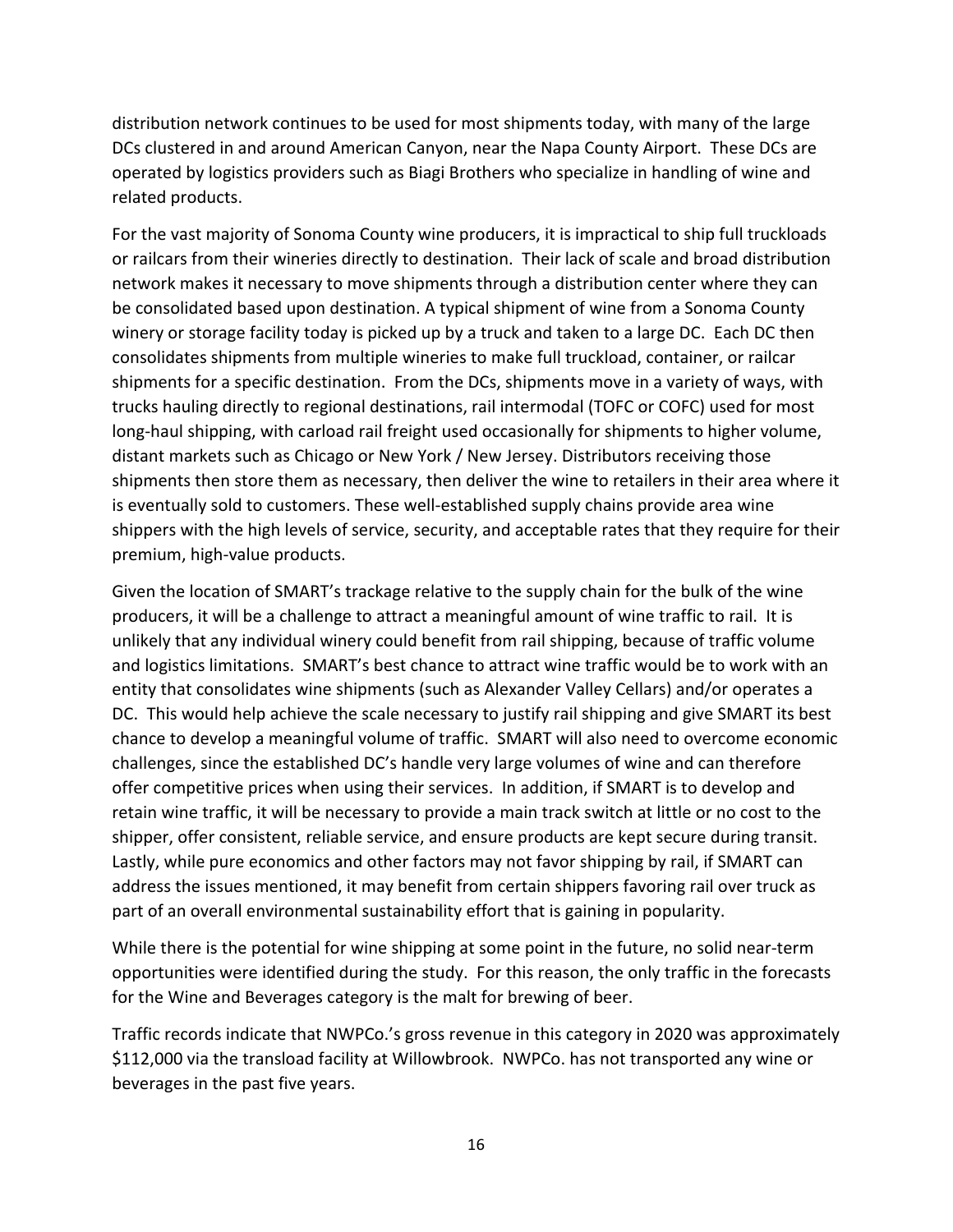distribution network continues to be used for most shipments today, with many of the large DCs clustered in and around American Canyon, near the Napa County Airport. These DCs are operated by logistics providers such as Biagi Brothers who specialize in handling of wine and related products.

For the vast majority of Sonoma County wine producers, it is impractical to ship full truckloads or railcars from their wineries directly to destination. Their lack of scale and broad distribution network makes it necessary to move shipments through a distribution center where they can be consolidated based upon destination. A typical shipment of wine from a Sonoma County winery or storage facility today is picked up by a truck and taken to a large DC. Each DC then consolidates shipments from multiple wineries to make full truckload, container, or railcar shipments for a specific destination. From the DCs, shipments move in a variety of ways, with trucks hauling directly to regional destinations, rail intermodal (TOFC or COFC) used for most long-haul shipping, with carload rail freight used occasionally for shipments to higher volume, distant markets such as Chicago or New York / New Jersey. Distributors receiving those shipments then store them as necessary, then deliver the wine to retailers in their area where it is eventually sold to customers. These well-established supply chains provide area wine shippers with the high levels of service, security, and acceptable rates that they require for their premium, high-value products.

Given the location of SMART's trackage relative to the supply chain for the bulk of the wine producers, it will be a challenge to attract a meaningful amount of wine traffic to rail. It is unlikely that any individual winery could benefit from rail shipping, because of traffic volume and logistics limitations. SMART's best chance to attract wine traffic would be to work with an entity that consolidates wine shipments (such as Alexander Valley Cellars) and/or operates a DC. This would help achieve the scale necessary to justify rail shipping and give SMART its best chance to develop a meaningful volume of traffic. SMART will also need to overcome economic challenges, since the established DC's handle very large volumes of wine and can therefore offer competitive prices when using their services. In addition, if SMART is to develop and retain wine traffic, it will be necessary to provide a main track switch at little or no cost to the shipper, offer consistent, reliable service, and ensure products are kept secure during transit. Lastly, while pure economics and other factors may not favor shipping by rail, if SMART can address the issues mentioned, it may benefit from certain shippers favoring rail over truck as part of an overall environmental sustainability effort that is gaining in popularity.

While there is the potential for wine shipping at some point in the future, no solid near-term opportunities were identified during the study. For this reason, the only traffic in the forecasts for the Wine and Beverages category is the malt for brewing of beer.

Traffic records indicate that NWPCo.'s gross revenue in this category in 2020 was approximately \$112,000 via the transload facility at Willowbrook. NWPCo. has not transported any wine or beverages in the past five years.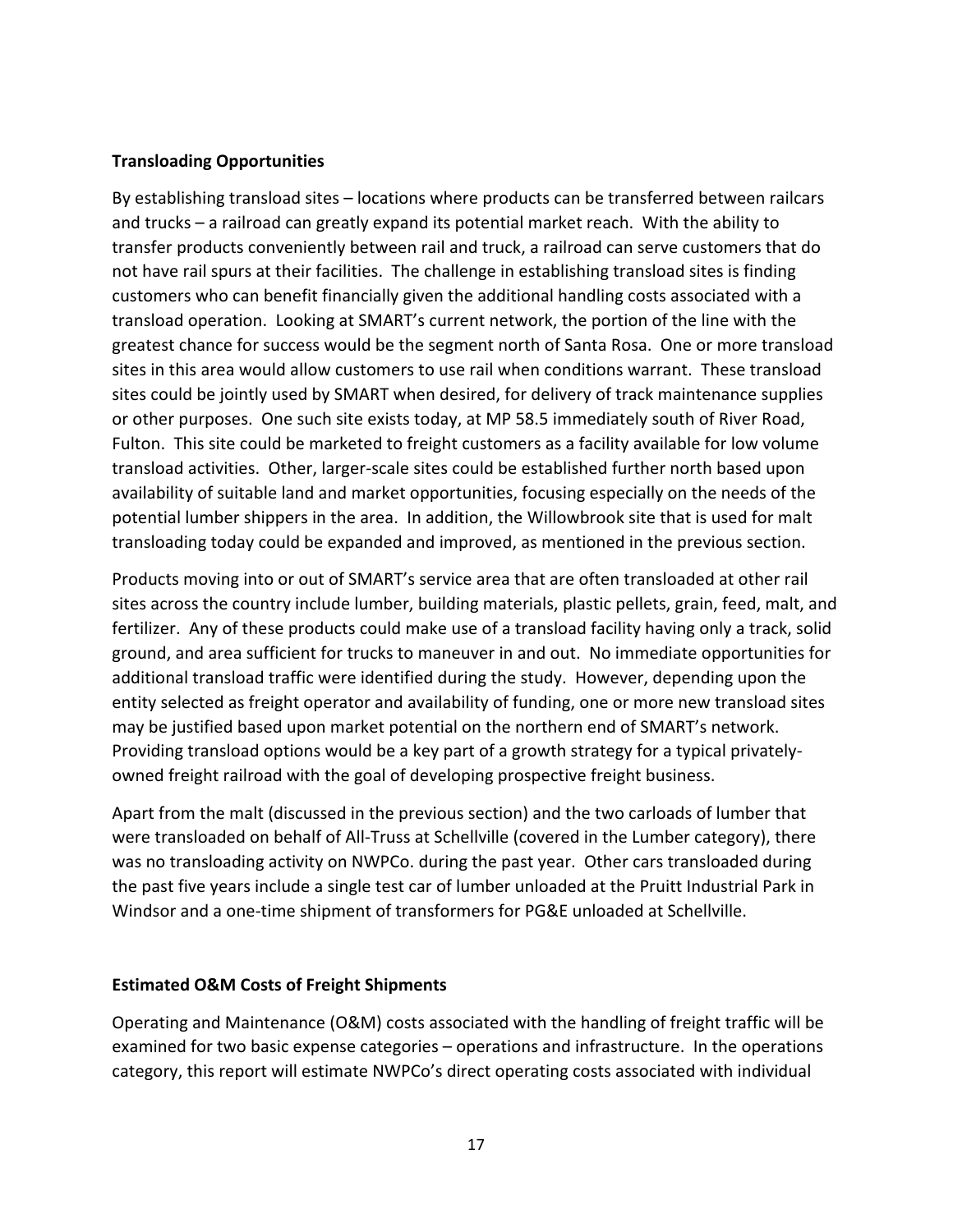### **Transloading Opportunities**

By establishing transload sites – locations where products can be transferred between railcars and trucks – a railroad can greatly expand its potential market reach. With the ability to transfer products conveniently between rail and truck, a railroad can serve customers that do not have rail spurs at their facilities. The challenge in establishing transload sites is finding customers who can benefit financially given the additional handling costs associated with a transload operation. Looking at SMART's current network, the portion of the line with the greatest chance for success would be the segment north of Santa Rosa. One or more transload sites in this area would allow customers to use rail when conditions warrant. These transload sites could be jointly used by SMART when desired, for delivery of track maintenance supplies or other purposes. One such site exists today, at MP 58.5 immediately south of River Road, Fulton. This site could be marketed to freight customers as a facility available for low volume transload activities. Other, larger-scale sites could be established further north based upon availability of suitable land and market opportunities, focusing especially on the needs of the potential lumber shippers in the area. In addition, the Willowbrook site that is used for malt transloading today could be expanded and improved, as mentioned in the previous section.

Products moving into or out of SMART's service area that are often transloaded at other rail sites across the country include lumber, building materials, plastic pellets, grain, feed, malt, and fertilizer. Any of these products could make use of a transload facility having only a track, solid ground, and area sufficient for trucks to maneuver in and out. No immediate opportunities for additional transload traffic were identified during the study. However, depending upon the entity selected as freight operator and availability of funding, one or more new transload sites may be justified based upon market potential on the northern end of SMART's network. Providing transload options would be a key part of a growth strategy for a typical privatelyowned freight railroad with the goal of developing prospective freight business.

Apart from the malt (discussed in the previous section) and the two carloads of lumber that were transloaded on behalf of All-Truss at Schellville (covered in the Lumber category), there was no transloading activity on NWPCo. during the past year. Other cars transloaded during the past five years include a single test car of lumber unloaded at the Pruitt Industrial Park in Windsor and a one-time shipment of transformers for PG&E unloaded at Schellville.

### **Estimated O&M Costs of Freight Shipments**

Operating and Maintenance (O&M) costs associated with the handling of freight traffic will be examined for two basic expense categories – operations and infrastructure. In the operations category, this report will estimate NWPCo's direct operating costs associated with individual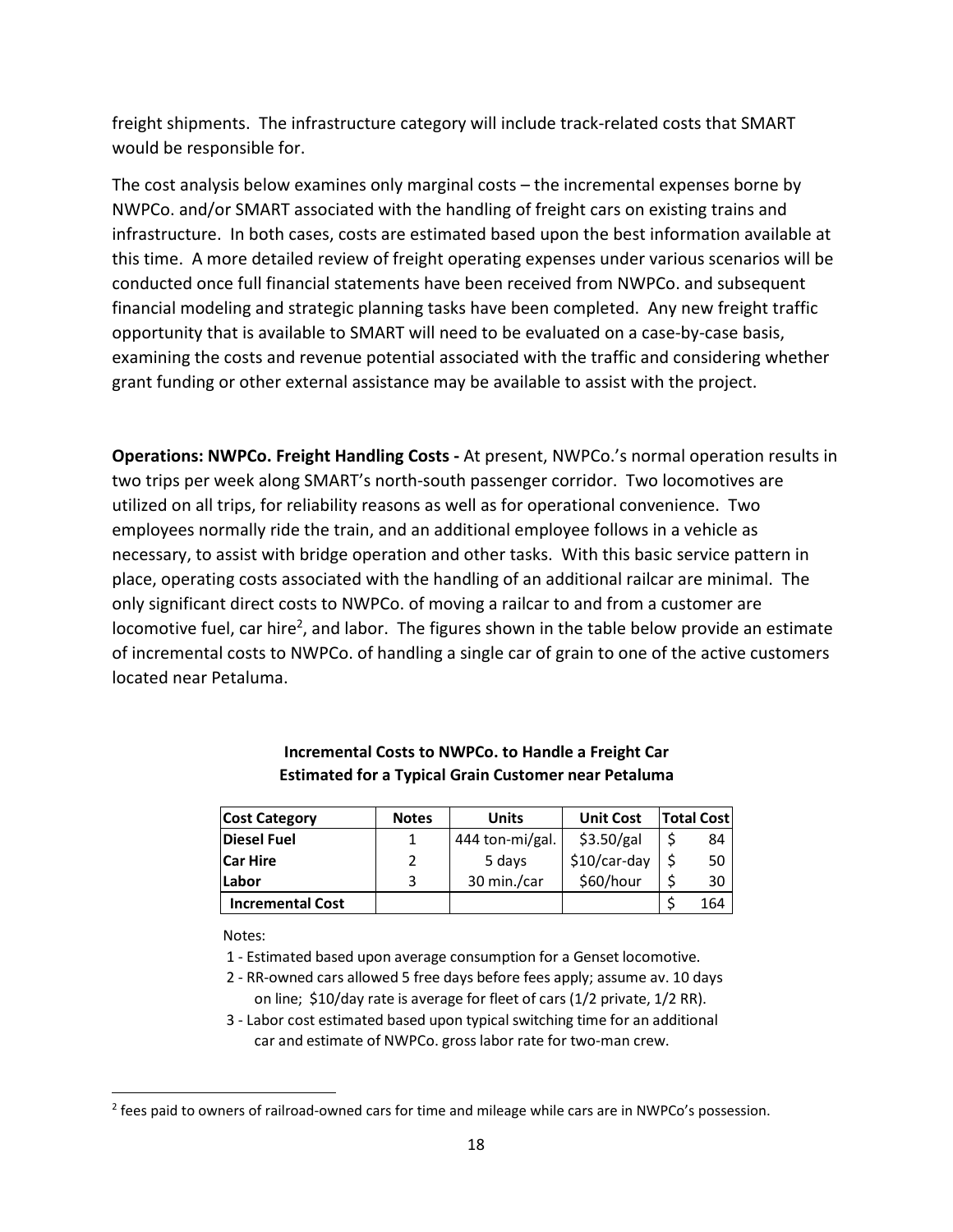freight shipments. The infrastructure category will include track-related costs that SMART would be responsible for.

The cost analysis below examines only marginal costs – the incremental expenses borne by NWPCo. and/or SMART associated with the handling of freight cars on existing trains and infrastructure. In both cases, costs are estimated based upon the best information available at this time. A more detailed review of freight operating expenses under various scenarios will be conducted once full financial statements have been received from NWPCo. and subsequent financial modeling and strategic planning tasks have been completed. Any new freight traffic opportunity that is available to SMART will need to be evaluated on a case-by-case basis, examining the costs and revenue potential associated with the traffic and considering whether grant funding or other external assistance may be available to assist with the project.

**Operations: NWPCo. Freight Handling Costs -** At present, NWPCo.'s normal operation results in two trips per week along SMART's north-south passenger corridor. Two locomotives are utilized on all trips, for reliability reasons as well as for operational convenience. Two employees normally ride the train, and an additional employee follows in a vehicle as necessary, to assist with bridge operation and other tasks. With this basic service pattern in place, operating costs associated with the handling of an additional railcar are minimal. The only significant direct costs to NWPCo. of moving a railcar to and from a customer are locomotive fuel, car hire<sup>2</sup>, and labor. The figures shown in the table below provide an estimate of incremental costs to NWPCo. of handling a single car of grain to one of the active customers located near Petaluma.

| <b>Cost Category</b>    | <b>Notes</b> | Units           | <b>Unit Cost</b> | <b>Total Cost</b> |     |
|-------------------------|--------------|-----------------|------------------|-------------------|-----|
| Diesel Fuel             |              | 444 ton-mi/gal. | \$3.50/gal       |                   | 84  |
| <b>Car Hire</b>         |              | 5 days          | \$10/car-day     |                   | 50  |
| Labor                   | 3            | 30 min./car     | \$60/hour        |                   | 30  |
| <b>Incremental Cost</b> |              |                 |                  |                   | 164 |

### **Incremental Costs to NWPCo. to Handle a Freight Car Estimated for a Typical Grain Customer near Petaluma**

Notes:

1 - Estimated based upon average consumption for a Genset locomotive.

- 2 RR-owned cars allowed 5 free days before fees apply; assume av. 10 days on line; \$10/day rate is average for fleet of cars (1/2 private, 1/2 RR).
- 3 Labor cost estimated based upon typical switching time for an additional car and estimate of NWPCo. gross labor rate for two-man crew.

<sup>&</sup>lt;sup>2</sup> fees paid to owners of railroad-owned cars for time and mileage while cars are in NWPCo's possession.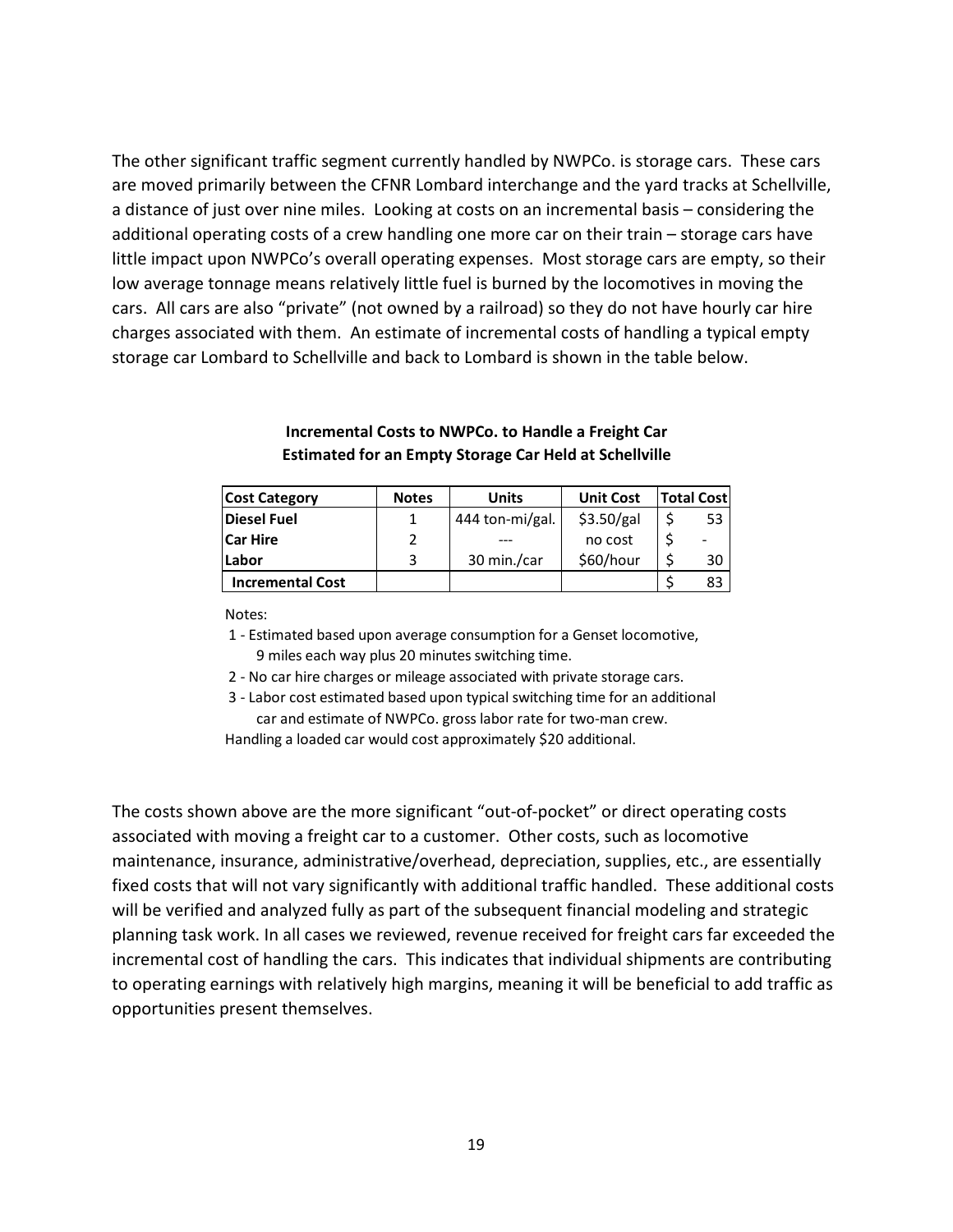The other significant traffic segment currently handled by NWPCo. is storage cars. These cars are moved primarily between the CFNR Lombard interchange and the yard tracks at Schellville, a distance of just over nine miles. Looking at costs on an incremental basis – considering the additional operating costs of a crew handling one more car on their train – storage cars have little impact upon NWPCo's overall operating expenses. Most storage cars are empty, so their low average tonnage means relatively little fuel is burned by the locomotives in moving the cars. All cars are also "private" (not owned by a railroad) so they do not have hourly car hire charges associated with them. An estimate of incremental costs of handling a typical empty storage car Lombard to Schellville and back to Lombard is shown in the table below.

| <b>Cost Category</b>    | <b>Notes</b> | <b>Units</b>    | <b>Unit Cost</b> | <b>Total Cost</b> |
|-------------------------|--------------|-----------------|------------------|-------------------|
| Diesel Fuel             |              | 444 ton-mi/gal. | \$3.50/gal       | 53                |
| <b>Car Hire</b>         |              |                 | no cost          | ä,                |
| Labor                   | ર            | 30 min./car     | \$60/hour        | 30                |
| <b>Incremental Cost</b> |              |                 |                  | 83                |

### **Incremental Costs to NWPCo. to Handle a Freight Car Estimated for an Empty Storage Car Held at Schellville**

Notes:

 1 - Estimated based upon average consumption for a Genset locomotive, 9 miles each way plus 20 minutes switching time.

2 - No car hire charges or mileage associated with private storage cars.

 3 - Labor cost estimated based upon typical switching time for an additional car and estimate of NWPCo. gross labor rate for two-man crew.

Handling a loaded car would cost approximately \$20 additional.

The costs shown above are the more significant "out-of-pocket" or direct operating costs associated with moving a freight car to a customer. Other costs, such as locomotive maintenance, insurance, administrative/overhead, depreciation, supplies, etc., are essentially fixed costs that will not vary significantly with additional traffic handled. These additional costs will be verified and analyzed fully as part of the subsequent financial modeling and strategic planning task work. In all cases we reviewed, revenue received for freight cars far exceeded the incremental cost of handling the cars. This indicates that individual shipments are contributing to operating earnings with relatively high margins, meaning it will be beneficial to add traffic as opportunities present themselves.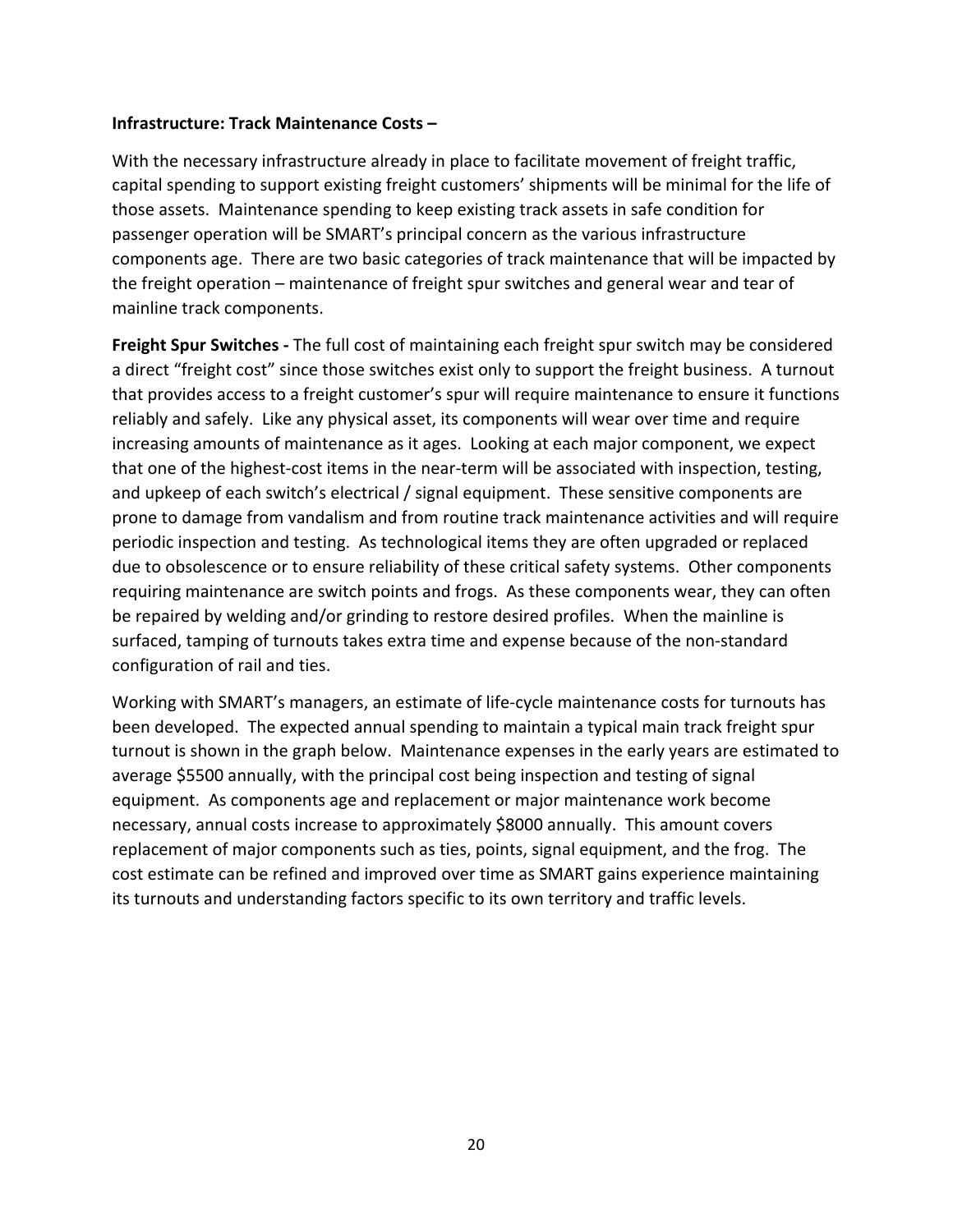### **Infrastructure: Track Maintenance Costs –**

With the necessary infrastructure already in place to facilitate movement of freight traffic, capital spending to support existing freight customers' shipments will be minimal for the life of those assets. Maintenance spending to keep existing track assets in safe condition for passenger operation will be SMART's principal concern as the various infrastructure components age. There are two basic categories of track maintenance that will be impacted by the freight operation – maintenance of freight spur switches and general wear and tear of mainline track components.

**Freight Spur Switches -** The full cost of maintaining each freight spur switch may be considered a direct "freight cost" since those switches exist only to support the freight business. A turnout that provides access to a freight customer's spur will require maintenance to ensure it functions reliably and safely. Like any physical asset, its components will wear over time and require increasing amounts of maintenance as it ages. Looking at each major component, we expect that one of the highest-cost items in the near-term will be associated with inspection, testing, and upkeep of each switch's electrical / signal equipment. These sensitive components are prone to damage from vandalism and from routine track maintenance activities and will require periodic inspection and testing. As technological items they are often upgraded or replaced due to obsolescence or to ensure reliability of these critical safety systems. Other components requiring maintenance are switch points and frogs. As these components wear, they can often be repaired by welding and/or grinding to restore desired profiles. When the mainline is surfaced, tamping of turnouts takes extra time and expense because of the non-standard configuration of rail and ties.

Working with SMART's managers, an estimate of life-cycle maintenance costs for turnouts has been developed. The expected annual spending to maintain a typical main track freight spur turnout is shown in the graph below. Maintenance expenses in the early years are estimated to average \$5500 annually, with the principal cost being inspection and testing of signal equipment. As components age and replacement or major maintenance work become necessary, annual costs increase to approximately \$8000 annually. This amount covers replacement of major components such as ties, points, signal equipment, and the frog. The cost estimate can be refined and improved over time as SMART gains experience maintaining its turnouts and understanding factors specific to its own territory and traffic levels.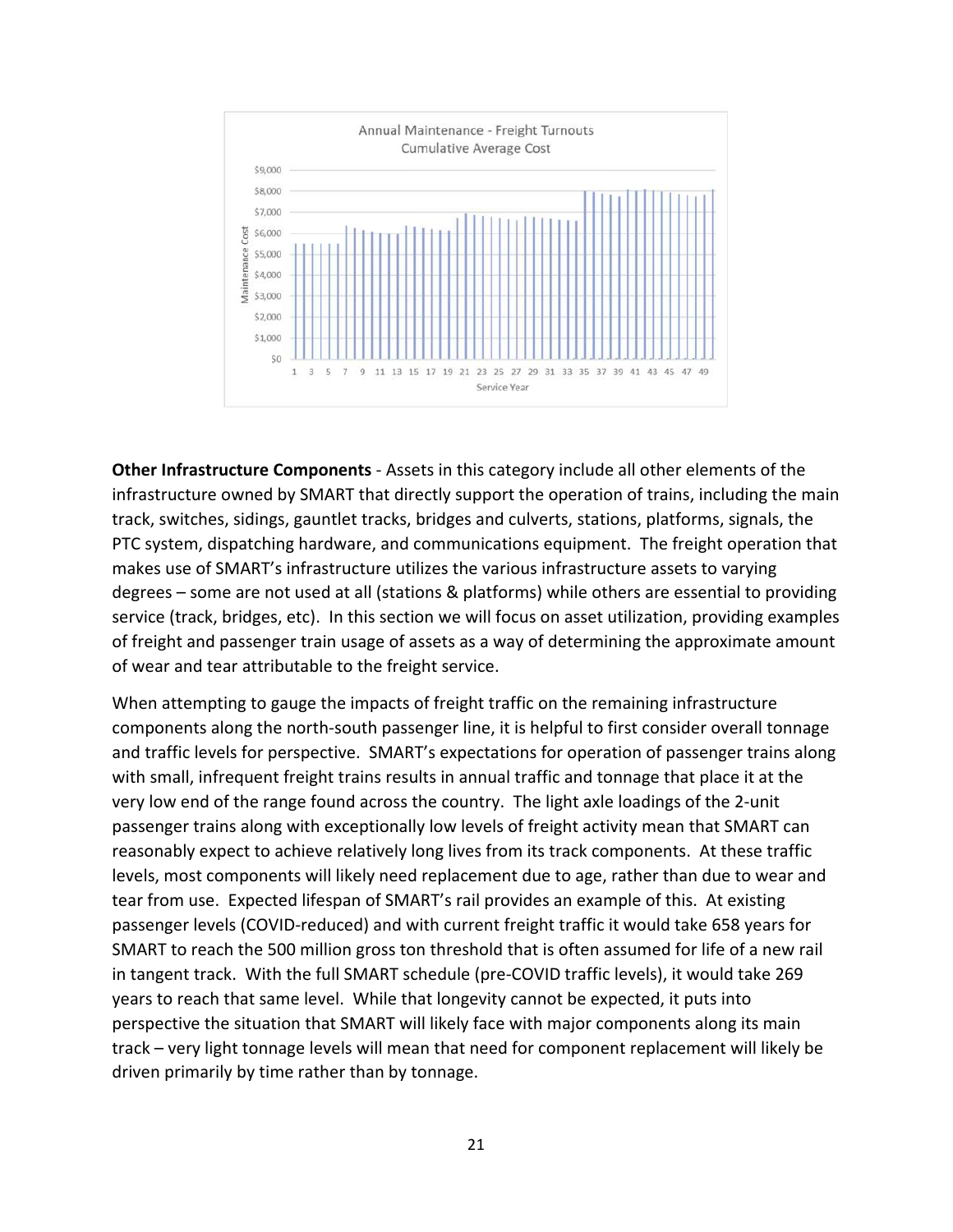

**Other Infrastructure Components** - Assets in this category include all other elements of the infrastructure owned by SMART that directly support the operation of trains, including the main track, switches, sidings, gauntlet tracks, bridges and culverts, stations, platforms, signals, the PTC system, dispatching hardware, and communications equipment. The freight operation that makes use of SMART's infrastructure utilizes the various infrastructure assets to varying degrees – some are not used at all (stations & platforms) while others are essential to providing service (track, bridges, etc). In this section we will focus on asset utilization, providing examples of freight and passenger train usage of assets as a way of determining the approximate amount of wear and tear attributable to the freight service.

When attempting to gauge the impacts of freight traffic on the remaining infrastructure components along the north-south passenger line, it is helpful to first consider overall tonnage and traffic levels for perspective. SMART's expectations for operation of passenger trains along with small, infrequent freight trains results in annual traffic and tonnage that place it at the very low end of the range found across the country. The light axle loadings of the 2-unit passenger trains along with exceptionally low levels of freight activity mean that SMART can reasonably expect to achieve relatively long lives from its track components. At these traffic levels, most components will likely need replacement due to age, rather than due to wear and tear from use. Expected lifespan of SMART's rail provides an example of this. At existing passenger levels (COVID-reduced) and with current freight traffic it would take 658 years for SMART to reach the 500 million gross ton threshold that is often assumed for life of a new rail in tangent track. With the full SMART schedule (pre-COVID traffic levels), it would take 269 years to reach that same level. While that longevity cannot be expected, it puts into perspective the situation that SMART will likely face with major components along its main track – very light tonnage levels will mean that need for component replacement will likely be driven primarily by time rather than by tonnage.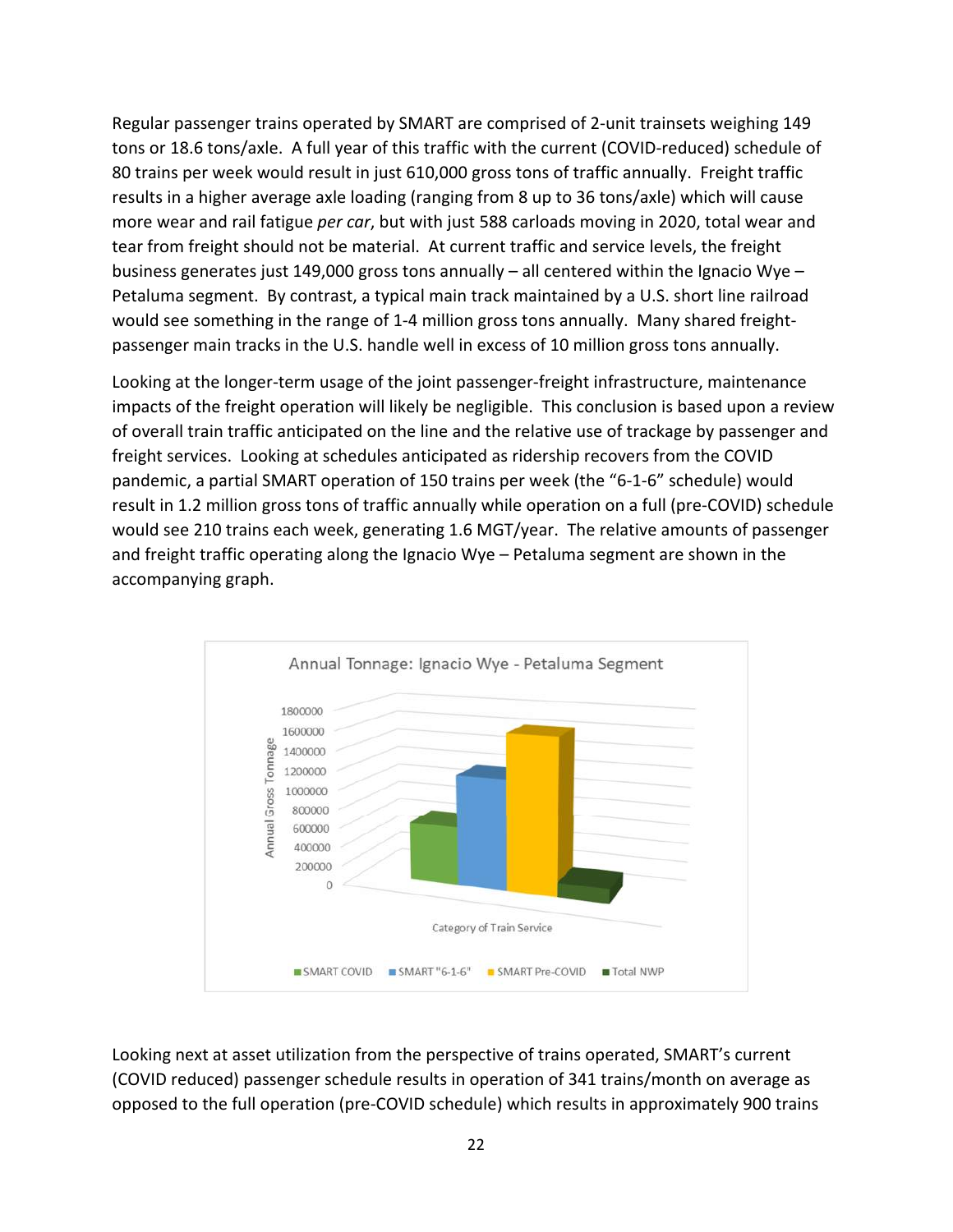Regular passenger trains operated by SMART are comprised of 2-unit trainsets weighing 149 tons or 18.6 tons/axle. A full year of this traffic with the current (COVID-reduced) schedule of 80 trains per week would result in just 610,000 gross tons of traffic annually. Freight traffic results in a higher average axle loading (ranging from 8 up to 36 tons/axle) which will cause more wear and rail fatigue *per car*, but with just 588 carloads moving in 2020, total wear and tear from freight should not be material. At current traffic and service levels, the freight business generates just 149,000 gross tons annually – all centered within the Ignacio Wye – Petaluma segment. By contrast, a typical main track maintained by a U.S. short line railroad would see something in the range of 1-4 million gross tons annually. Many shared freightpassenger main tracks in the U.S. handle well in excess of 10 million gross tons annually.

Looking at the longer-term usage of the joint passenger-freight infrastructure, maintenance impacts of the freight operation will likely be negligible. This conclusion is based upon a review of overall train traffic anticipated on the line and the relative use of trackage by passenger and freight services. Looking at schedules anticipated as ridership recovers from the COVID pandemic, a partial SMART operation of 150 trains per week (the "6-1-6" schedule) would result in 1.2 million gross tons of traffic annually while operation on a full (pre-COVID) schedule would see 210 trains each week, generating 1.6 MGT/year. The relative amounts of passenger and freight traffic operating along the Ignacio Wye – Petaluma segment are shown in the accompanying graph.



Looking next at asset utilization from the perspective of trains operated, SMART's current (COVID reduced) passenger schedule results in operation of 341 trains/month on average as opposed to the full operation (pre-COVID schedule) which results in approximately 900 trains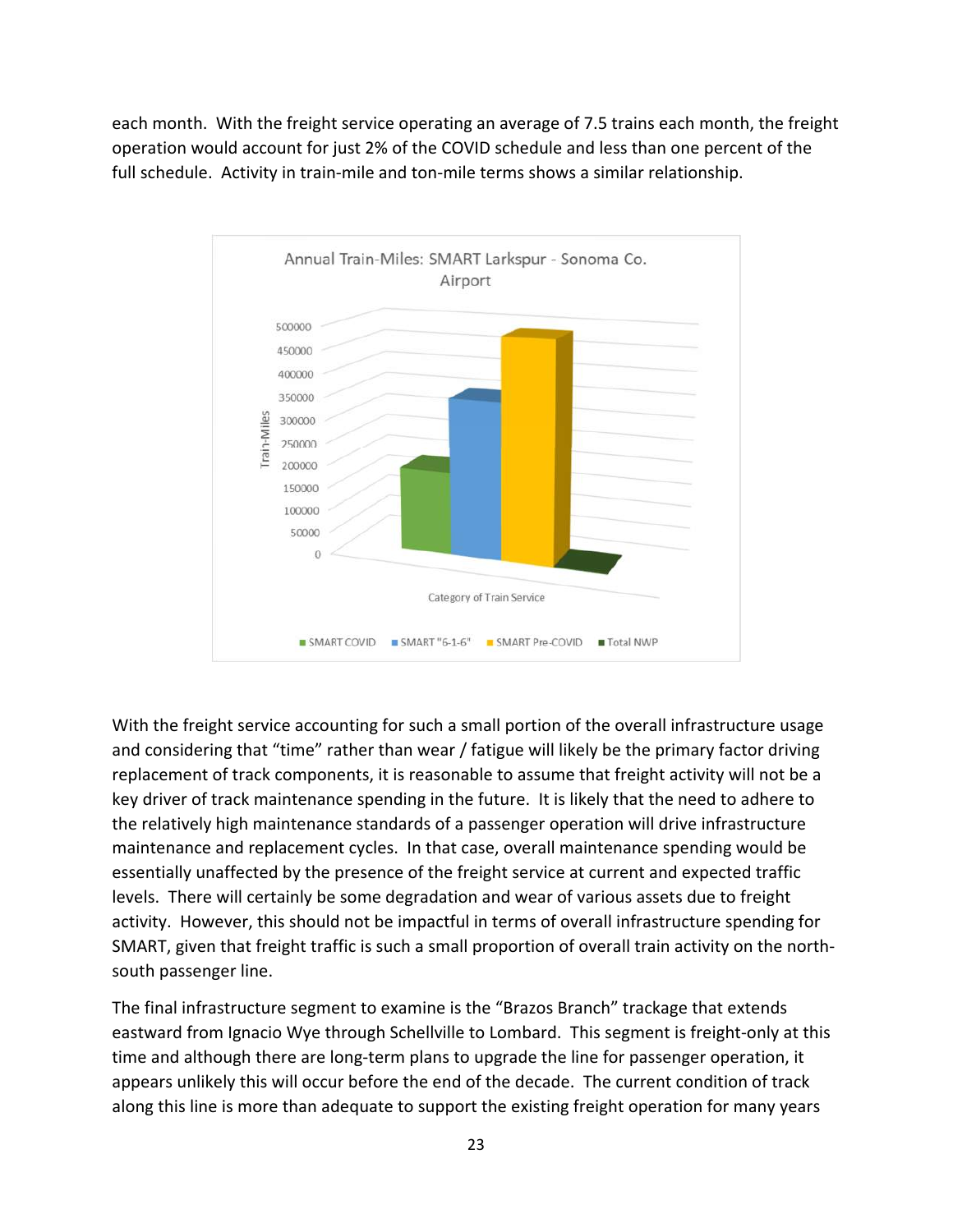each month. With the freight service operating an average of 7.5 trains each month, the freight operation would account for just 2% of the COVID schedule and less than one percent of the full schedule. Activity in train-mile and ton-mile terms shows a similar relationship.



With the freight service accounting for such a small portion of the overall infrastructure usage and considering that "time" rather than wear / fatigue will likely be the primary factor driving replacement of track components, it is reasonable to assume that freight activity will not be a key driver of track maintenance spending in the future. It is likely that the need to adhere to the relatively high maintenance standards of a passenger operation will drive infrastructure maintenance and replacement cycles. In that case, overall maintenance spending would be essentially unaffected by the presence of the freight service at current and expected traffic levels. There will certainly be some degradation and wear of various assets due to freight activity. However, this should not be impactful in terms of overall infrastructure spending for SMART, given that freight traffic is such a small proportion of overall train activity on the northsouth passenger line.

The final infrastructure segment to examine is the "Brazos Branch" trackage that extends eastward from Ignacio Wye through Schellville to Lombard. This segment is freight-only at this time and although there are long-term plans to upgrade the line for passenger operation, it appears unlikely this will occur before the end of the decade. The current condition of track along this line is more than adequate to support the existing freight operation for many years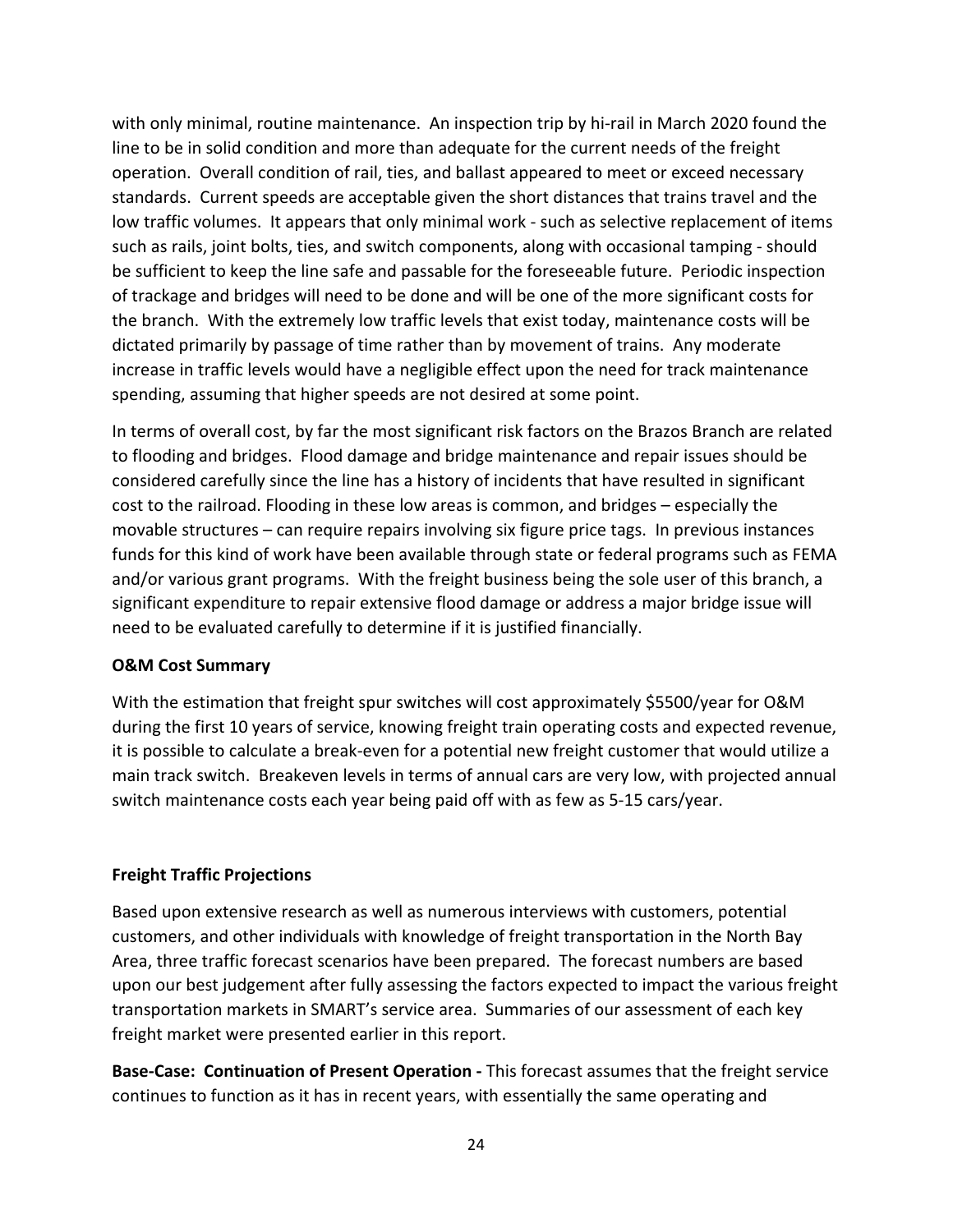with only minimal, routine maintenance. An inspection trip by hi-rail in March 2020 found the line to be in solid condition and more than adequate for the current needs of the freight operation. Overall condition of rail, ties, and ballast appeared to meet or exceed necessary standards. Current speeds are acceptable given the short distances that trains travel and the low traffic volumes. It appears that only minimal work - such as selective replacement of items such as rails, joint bolts, ties, and switch components, along with occasional tamping - should be sufficient to keep the line safe and passable for the foreseeable future. Periodic inspection of trackage and bridges will need to be done and will be one of the more significant costs for the branch. With the extremely low traffic levels that exist today, maintenance costs will be dictated primarily by passage of time rather than by movement of trains. Any moderate increase in traffic levels would have a negligible effect upon the need for track maintenance spending, assuming that higher speeds are not desired at some point.

In terms of overall cost, by far the most significant risk factors on the Brazos Branch are related to flooding and bridges. Flood damage and bridge maintenance and repair issues should be considered carefully since the line has a history of incidents that have resulted in significant cost to the railroad. Flooding in these low areas is common, and bridges – especially the movable structures – can require repairs involving six figure price tags. In previous instances funds for this kind of work have been available through state or federal programs such as FEMA and/or various grant programs. With the freight business being the sole user of this branch, a significant expenditure to repair extensive flood damage or address a major bridge issue will need to be evaluated carefully to determine if it is justified financially.

### **O&M Cost Summary**

With the estimation that freight spur switches will cost approximately \$5500/year for O&M during the first 10 years of service, knowing freight train operating costs and expected revenue, it is possible to calculate a break-even for a potential new freight customer that would utilize a main track switch. Breakeven levels in terms of annual cars are very low, with projected annual switch maintenance costs each year being paid off with as few as 5-15 cars/year.

# **Freight Traffic Projections**

Based upon extensive research as well as numerous interviews with customers, potential customers, and other individuals with knowledge of freight transportation in the North Bay Area, three traffic forecast scenarios have been prepared. The forecast numbers are based upon our best judgement after fully assessing the factors expected to impact the various freight transportation markets in SMART's service area. Summaries of our assessment of each key freight market were presented earlier in this report.

**Base-Case: Continuation of Present Operation -** This forecast assumes that the freight service continues to function as it has in recent years, with essentially the same operating and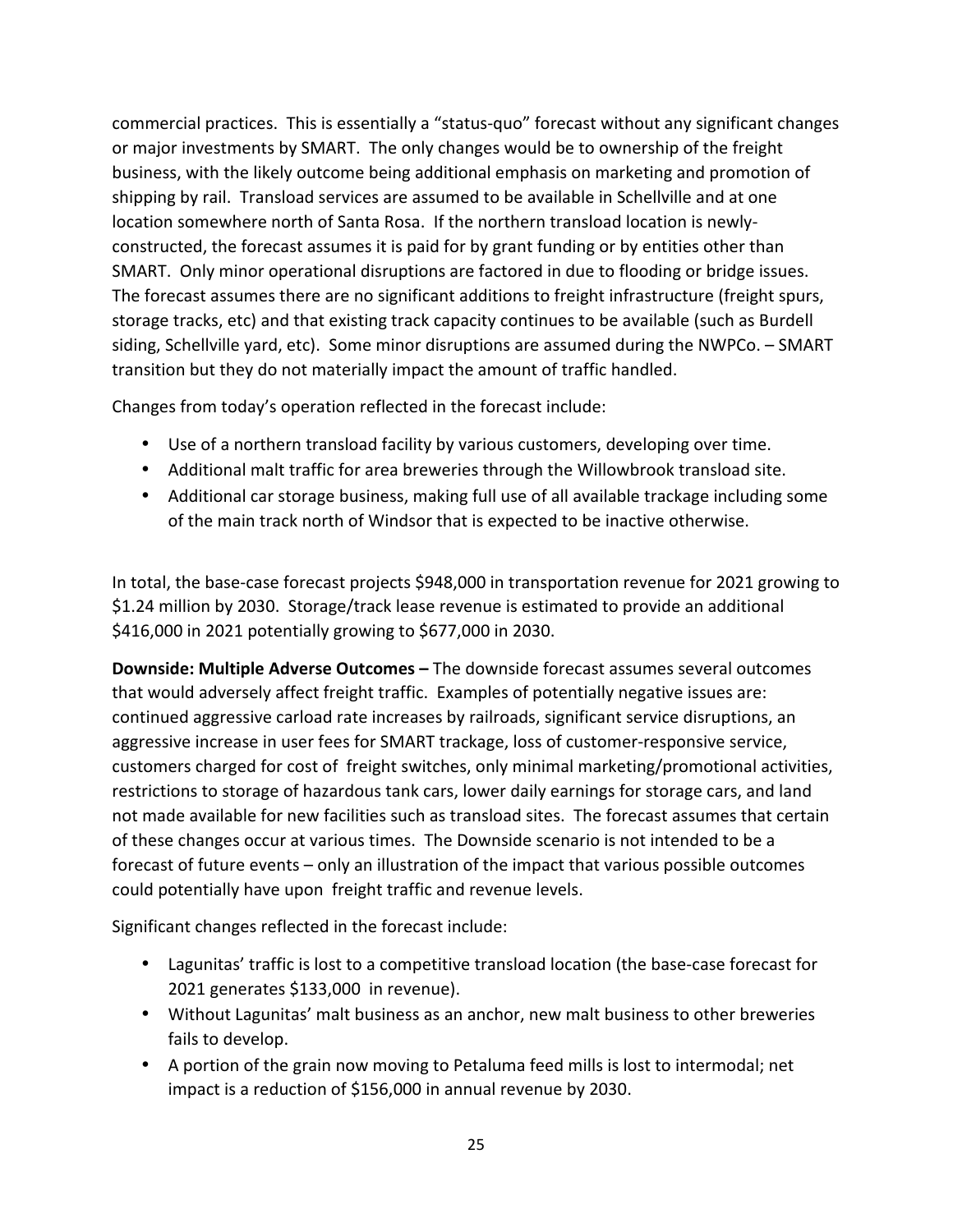commercial practices. This is essentially a "status-quo" forecast without any significant changes or major investments by SMART. The only changes would be to ownership of the freight business, with the likely outcome being additional emphasis on marketing and promotion of shipping by rail. Transload services are assumed to be available in Schellville and at one location somewhere north of Santa Rosa. If the northern transload location is newlyconstructed, the forecast assumes it is paid for by grant funding or by entities other than SMART. Only minor operational disruptions are factored in due to flooding or bridge issues. The forecast assumes there are no significant additions to freight infrastructure (freight spurs, storage tracks, etc) and that existing track capacity continues to be available (such as Burdell siding, Schellville yard, etc). Some minor disruptions are assumed during the NWPCo. – SMART transition but they do not materially impact the amount of traffic handled.

Changes from today's operation reflected in the forecast include:

- Use of a northern transload facility by various customers, developing over time.
- Additional malt traffic for area breweries through the Willowbrook transload site.
- Additional car storage business, making full use of all available trackage including some of the main track north of Windsor that is expected to be inactive otherwise.

In total, the base-case forecast projects \$948,000 in transportation revenue for 2021 growing to \$1.24 million by 2030. Storage/track lease revenue is estimated to provide an additional \$416,000 in 2021 potentially growing to \$677,000 in 2030.

**Downside: Multiple Adverse Outcomes –** The downside forecast assumes several outcomes that would adversely affect freight traffic. Examples of potentially negative issues are: continued aggressive carload rate increases by railroads, significant service disruptions, an aggressive increase in user fees for SMART trackage, loss of customer-responsive service, customers charged for cost of freight switches, only minimal marketing/promotional activities, restrictions to storage of hazardous tank cars, lower daily earnings for storage cars, and land not made available for new facilities such as transload sites. The forecast assumes that certain of these changes occur at various times. The Downside scenario is not intended to be a forecast of future events – only an illustration of the impact that various possible outcomes could potentially have upon freight traffic and revenue levels.

Significant changes reflected in the forecast include:

- Lagunitas' traffic is lost to a competitive transload location (the base-case forecast for 2021 generates \$133,000 in revenue).
- Without Lagunitas' malt business as an anchor, new malt business to other breweries fails to develop.
- A portion of the grain now moving to Petaluma feed mills is lost to intermodal; net impact is a reduction of \$156,000 in annual revenue by 2030.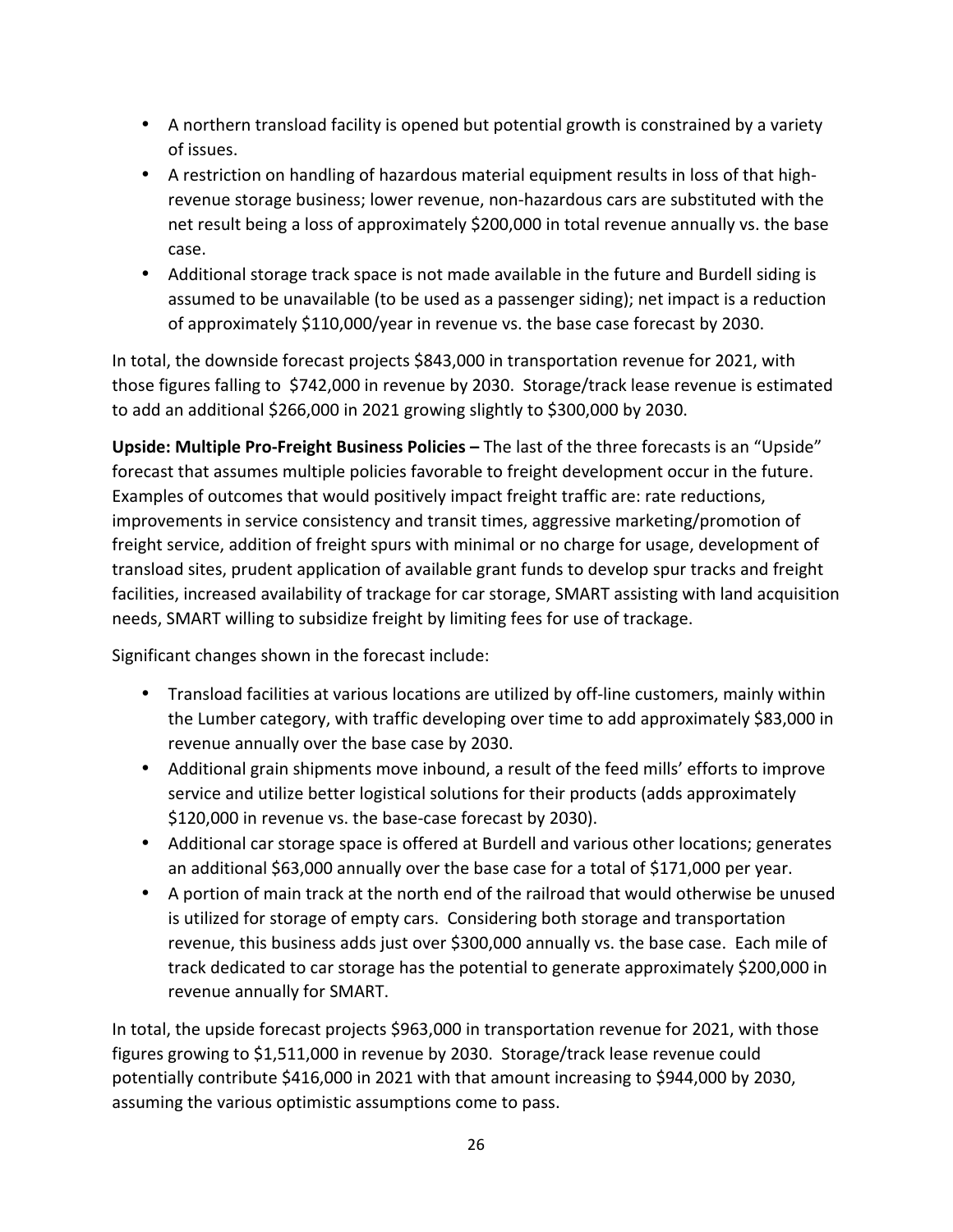- A northern transload facility is opened but potential growth is constrained by a variety of issues.
- A restriction on handling of hazardous material equipment results in loss of that highrevenue storage business; lower revenue, non-hazardous cars are substituted with the net result being a loss of approximately \$200,000 in total revenue annually vs. the base case.
- Additional storage track space is not made available in the future and Burdell siding is assumed to be unavailable (to be used as a passenger siding); net impact is a reduction of approximately \$110,000/year in revenue vs. the base case forecast by 2030.

In total, the downside forecast projects \$843,000 in transportation revenue for 2021, with those figures falling to \$742,000 in revenue by 2030. Storage/track lease revenue is estimated to add an additional \$266,000 in 2021 growing slightly to \$300,000 by 2030.

**Upside: Multiple Pro-Freight Business Policies –** The last of the three forecasts is an "Upside" forecast that assumes multiple policies favorable to freight development occur in the future. Examples of outcomes that would positively impact freight traffic are: rate reductions, improvements in service consistency and transit times, aggressive marketing/promotion of freight service, addition of freight spurs with minimal or no charge for usage, development of transload sites, prudent application of available grant funds to develop spur tracks and freight facilities, increased availability of trackage for car storage, SMART assisting with land acquisition needs, SMART willing to subsidize freight by limiting fees for use of trackage.

Significant changes shown in the forecast include:

- Transload facilities at various locations are utilized by off-line customers, mainly within the Lumber category, with traffic developing over time to add approximately \$83,000 in revenue annually over the base case by 2030.
- Additional grain shipments move inbound, a result of the feed mills' efforts to improve service and utilize better logistical solutions for their products (adds approximately \$120,000 in revenue vs. the base-case forecast by 2030).
- Additional car storage space is offered at Burdell and various other locations; generates an additional \$63,000 annually over the base case for a total of \$171,000 per year.
- A portion of main track at the north end of the railroad that would otherwise be unused is utilized for storage of empty cars. Considering both storage and transportation revenue, this business adds just over \$300,000 annually vs. the base case. Each mile of track dedicated to car storage has the potential to generate approximately \$200,000 in revenue annually for SMART.

In total, the upside forecast projects \$963,000 in transportation revenue for 2021, with those figures growing to \$1,511,000 in revenue by 2030. Storage/track lease revenue could potentially contribute \$416,000 in 2021 with that amount increasing to \$944,000 by 2030, assuming the various optimistic assumptions come to pass.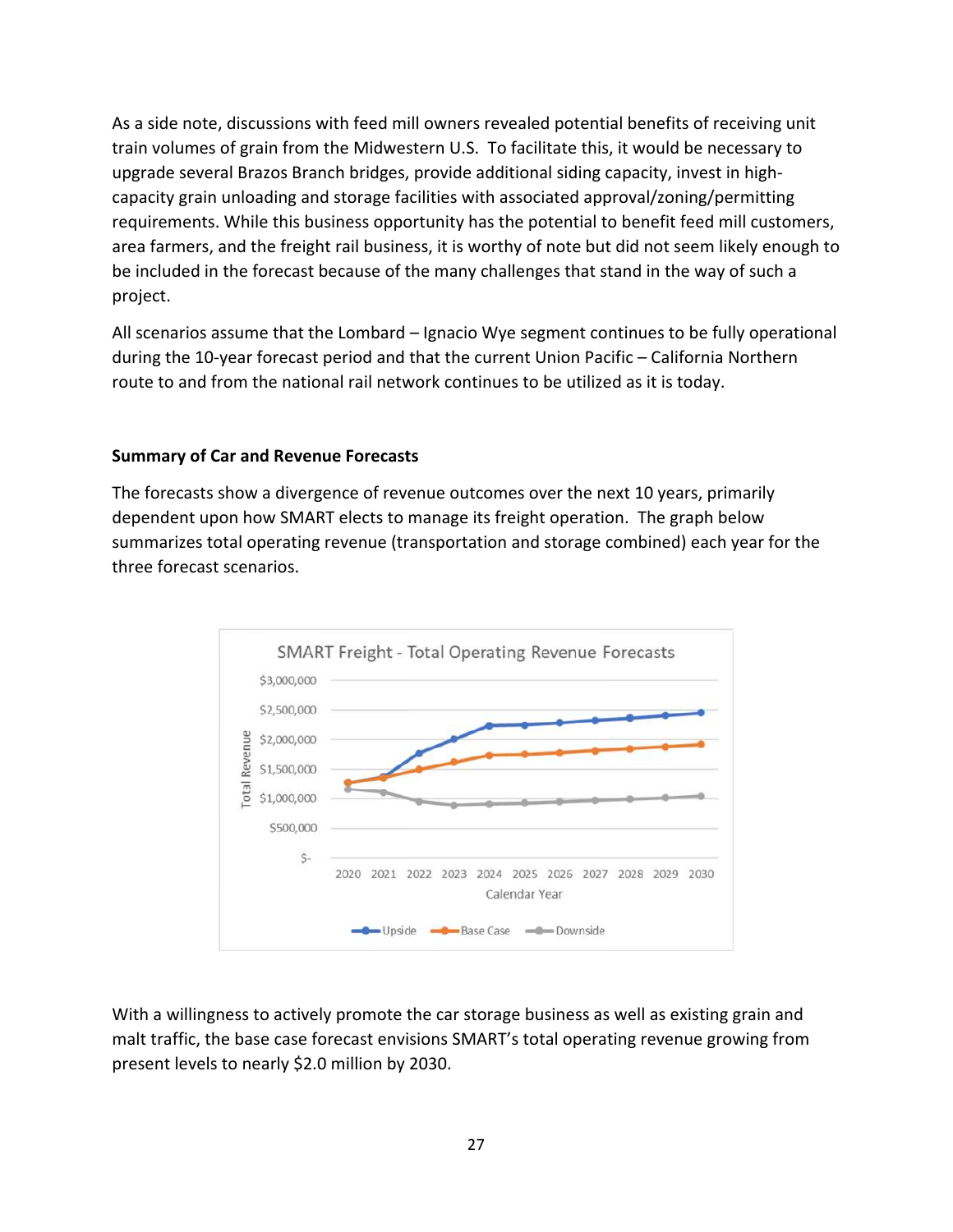As a side note, discussions with feed mill owners revealed potential benefits of receiving unit train volumes of grain from the Midwestern U.S. To facilitate this, it would be necessary to upgrade several Brazos Branch bridges, provide additional siding capacity, invest in highcapacity grain unloading and storage facilities with associated approval/zoning/permitting requirements. While this business opportunity has the potential to benefit feed mill customers, area farmers, and the freight rail business, it is worthy of note but did not seem likely enough to be included in the forecast because of the many challenges that stand in the way of such a project.

All scenarios assume that the Lombard – Ignacio Wye segment continues to be fully operational during the 10-year forecast period and that the current Union Pacific – California Northern route to and from the national rail network continues to be utilized as it is today.

### **Summary of Car and Revenue Forecasts**

The forecasts show a divergence of revenue outcomes over the next 10 years, primarily dependent upon how SMART elects to manage its freight operation. The graph below summarizes total operating revenue (transportation and storage combined) each year for the three forecast scenarios.



With a willingness to actively promote the car storage business as well as existing grain and malt traffic, the base case forecast envisions SMART's total operating revenue growing from present levels to nearly \$2.0 million by 2030.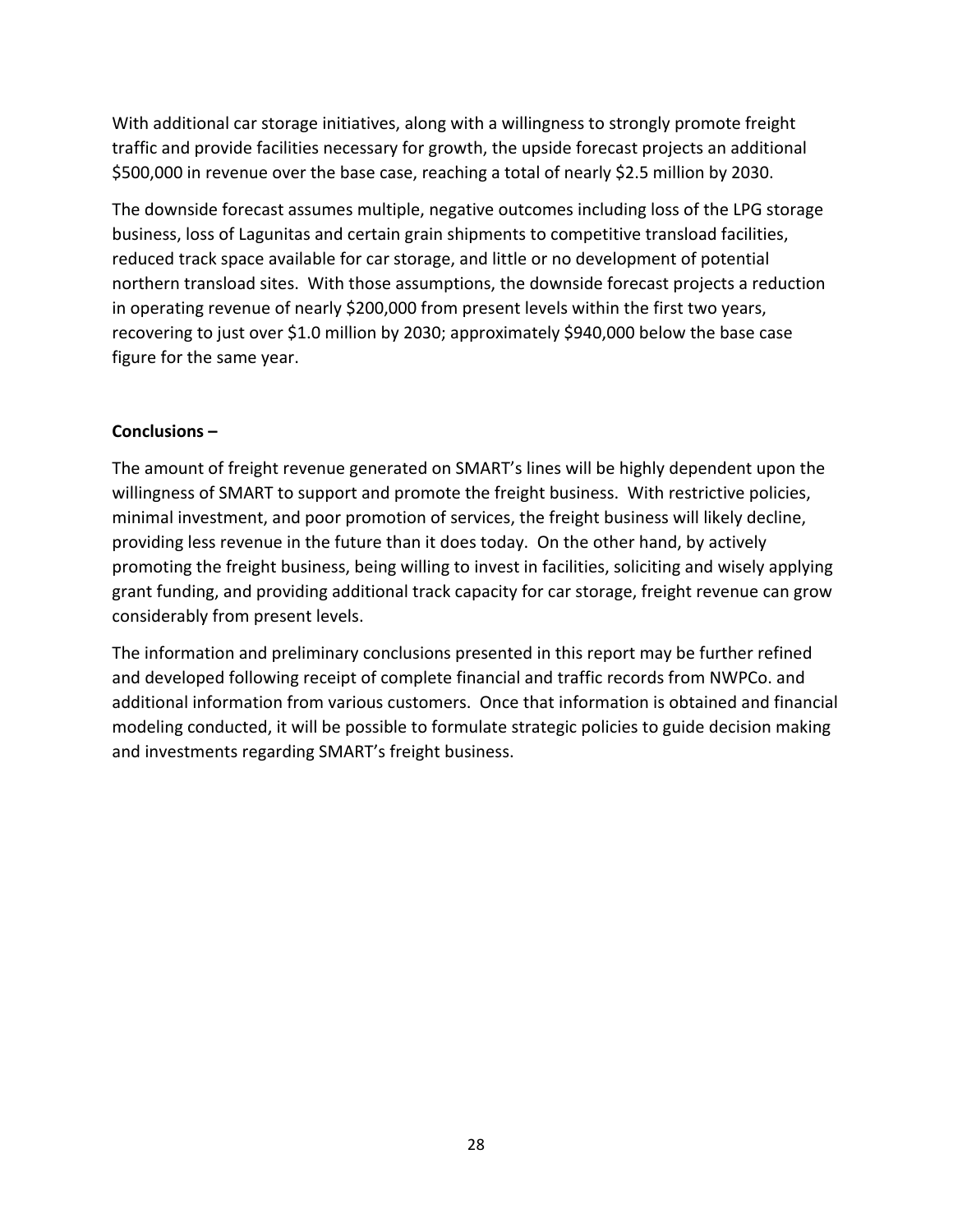With additional car storage initiatives, along with a willingness to strongly promote freight traffic and provide facilities necessary for growth, the upside forecast projects an additional \$500,000 in revenue over the base case, reaching a total of nearly \$2.5 million by 2030.

The downside forecast assumes multiple, negative outcomes including loss of the LPG storage business, loss of Lagunitas and certain grain shipments to competitive transload facilities, reduced track space available for car storage, and little or no development of potential northern transload sites. With those assumptions, the downside forecast projects a reduction in operating revenue of nearly \$200,000 from present levels within the first two years, recovering to just over \$1.0 million by 2030; approximately \$940,000 below the base case figure for the same year.

# **Conclusions –**

The amount of freight revenue generated on SMART's lines will be highly dependent upon the willingness of SMART to support and promote the freight business. With restrictive policies, minimal investment, and poor promotion of services, the freight business will likely decline, providing less revenue in the future than it does today. On the other hand, by actively promoting the freight business, being willing to invest in facilities, soliciting and wisely applying grant funding, and providing additional track capacity for car storage, freight revenue can grow considerably from present levels.

The information and preliminary conclusions presented in this report may be further refined and developed following receipt of complete financial and traffic records from NWPCo. and additional information from various customers. Once that information is obtained and financial modeling conducted, it will be possible to formulate strategic policies to guide decision making and investments regarding SMART's freight business.